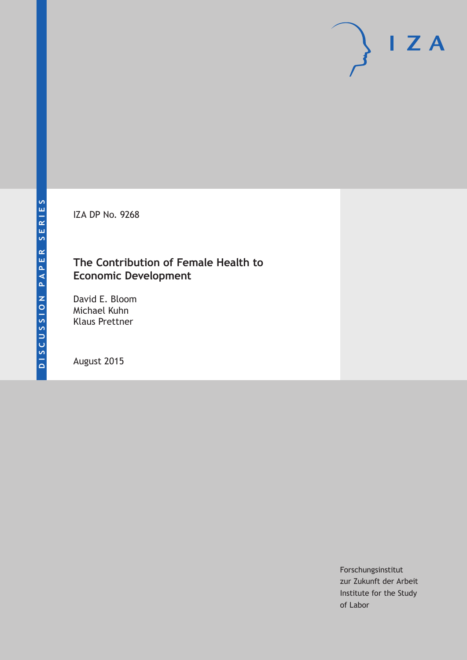IZA DP No. 9268

## **The Contribution of Female Health to Economic Development**

David E. Bloom Michael Kuhn Klaus Prettner

August 2015

Forschungsinstitut zur Zukunft der Arbeit Institute for the Study of Labor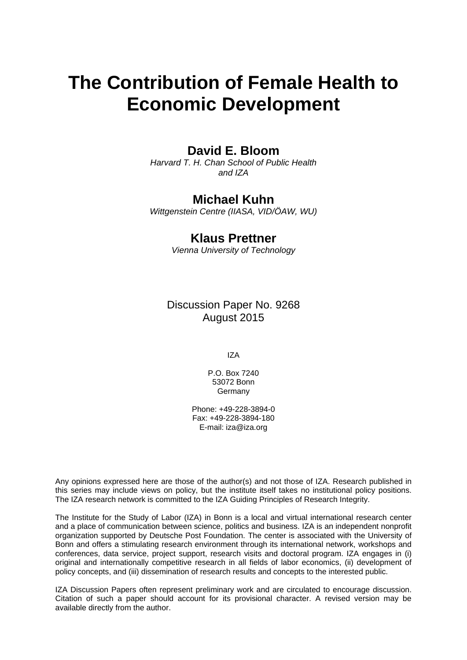# **The Contribution of Female Health to Economic Development**

## **David E. Bloom**

*Harvard T. H. Chan School of Public Health and IZA* 

## **Michael Kuhn**

*Wittgenstein Centre (IIASA, VID/ÖAW, WU)* 

## **Klaus Prettner**

*Vienna University of Technology*

Discussion Paper No. 9268 August 2015

IZA

P.O. Box 7240 53072 Bonn Germany

Phone: +49-228-3894-0 Fax: +49-228-3894-180 E-mail: iza@iza.org

Any opinions expressed here are those of the author(s) and not those of IZA. Research published in this series may include views on policy, but the institute itself takes no institutional policy positions. The IZA research network is committed to the IZA Guiding Principles of Research Integrity.

The Institute for the Study of Labor (IZA) in Bonn is a local and virtual international research center and a place of communication between science, politics and business. IZA is an independent nonprofit organization supported by Deutsche Post Foundation. The center is associated with the University of Bonn and offers a stimulating research environment through its international network, workshops and conferences, data service, project support, research visits and doctoral program. IZA engages in (i) original and internationally competitive research in all fields of labor economics, (ii) development of policy concepts, and (iii) dissemination of research results and concepts to the interested public.

IZA Discussion Papers often represent preliminary work and are circulated to encourage discussion. Citation of such a paper should account for its provisional character. A revised version may be available directly from the author.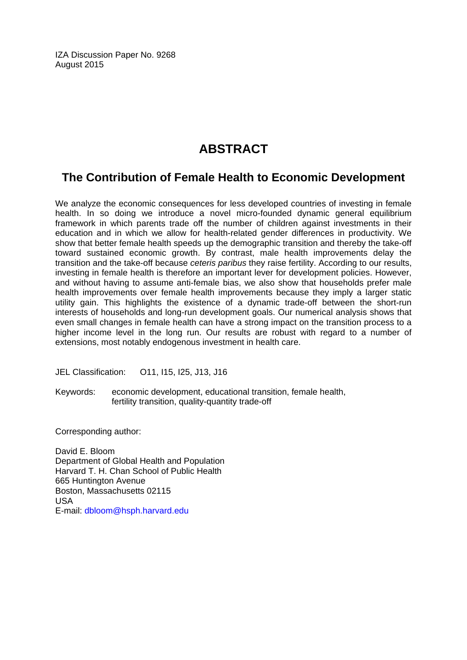IZA Discussion Paper No. 9268 August 2015

## **ABSTRACT**

## **The Contribution of Female Health to Economic Development**

We analyze the economic consequences for less developed countries of investing in female health. In so doing we introduce a novel micro-founded dynamic general equilibrium framework in which parents trade off the number of children against investments in their education and in which we allow for health-related gender differences in productivity. We show that better female health speeds up the demographic transition and thereby the take-off toward sustained economic growth. By contrast, male health improvements delay the transition and the take-off because *ceteris paribus* they raise fertility. According to our results, investing in female health is therefore an important lever for development policies. However, and without having to assume anti-female bias, we also show that households prefer male health improvements over female health improvements because they imply a larger static utility gain. This highlights the existence of a dynamic trade-off between the short-run interests of households and long-run development goals. Our numerical analysis shows that even small changes in female health can have a strong impact on the transition process to a higher income level in the long run. Our results are robust with regard to a number of extensions, most notably endogenous investment in health care.

JEL Classification: O11, I15, I25, J13, J16

Keywords: economic development, educational transition, female health, fertility transition, quality-quantity trade-off

Corresponding author:

David E. Bloom Department of Global Health and Population Harvard T. H. Chan School of Public Health 665 Huntington Avenue Boston, Massachusetts 02115 USA E-mail: dbloom@hsph.harvard.edu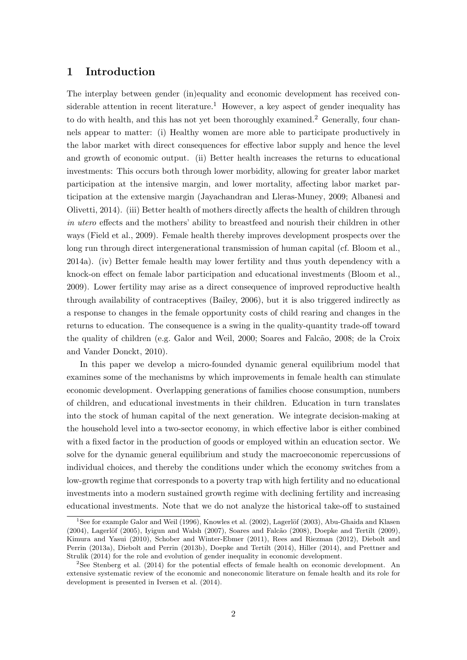### 1 Introduction

The interplay between gender (in)equality and economic development has received considerable attention in recent literature.<sup>1</sup> However, a key aspect of gender inequality has to do with health, and this has not yet been thoroughly examined.<sup>2</sup> Generally, four channels appear to matter: (i) Healthy women are more able to participate productively in the labor market with direct consequences for effective labor supply and hence the level and growth of economic output. (ii) Better health increases the returns to educational investments: This occurs both through lower morbidity, allowing for greater labor market participation at the intensive margin, and lower mortality, affecting labor market participation at the extensive margin (Jayachandran and Lleras-Muney, 2009; Albanesi and Olivetti, 2014). (iii) Better health of mothers directly affects the health of children through in utero effects and the mothers' ability to breastfeed and nourish their children in other ways (Field et al., 2009). Female health thereby improves development prospects over the long run through direct intergenerational transmission of human capital (cf. Bloom et al., 2014a). (iv) Better female health may lower fertility and thus youth dependency with a knock-on effect on female labor participation and educational investments (Bloom et al., 2009). Lower fertility may arise as a direct consequence of improved reproductive health through availability of contraceptives (Bailey, 2006), but it is also triggered indirectly as a response to changes in the female opportunity costs of child rearing and changes in the returns to education. The consequence is a swing in the quality-quantity trade-off toward the quality of children (e.g. Galor and Weil, 2000; Soares and Falcão, 2008; de la Croix and Vander Donckt, 2010).

In this paper we develop a micro-founded dynamic general equilibrium model that examines some of the mechanisms by which improvements in female health can stimulate economic development. Overlapping generations of families choose consumption, numbers of children, and educational investments in their children. Education in turn translates into the stock of human capital of the next generation. We integrate decision-making at the household level into a two-sector economy, in which effective labor is either combined with a fixed factor in the production of goods or employed within an education sector. We solve for the dynamic general equilibrium and study the macroeconomic repercussions of individual choices, and thereby the conditions under which the economy switches from a low-growth regime that corresponds to a poverty trap with high fertility and no educational investments into a modern sustained growth regime with declining fertility and increasing educational investments. Note that we do not analyze the historical take-off to sustained

<sup>&</sup>lt;sup>1</sup>See for example Galor and Weil (1996), Knowles et al. (2002), Lagerlöf (2003), Abu-Ghaida and Klasen  $(2004)$ , Lagerlöf  $(2005)$ , Iyigun and Walsh  $(2007)$ , Soares and Falcão  $(2008)$ , Doepke and Tertilt  $(2009)$ , Kimura and Yasui (2010), Schober and Winter-Ebmer (2011), Rees and Riezman (2012), Diebolt and Perrin (2013a), Diebolt and Perrin (2013b), Doepke and Tertilt (2014), Hiller (2014), and Prettner and Strulik (2014) for the role and evolution of gender inequality in economic development.

<sup>2</sup>See Stenberg et al. (2014) for the potential effects of female health on economic development. An extensive systematic review of the economic and noneconomic literature on female health and its role for development is presented in Iversen et al. (2014).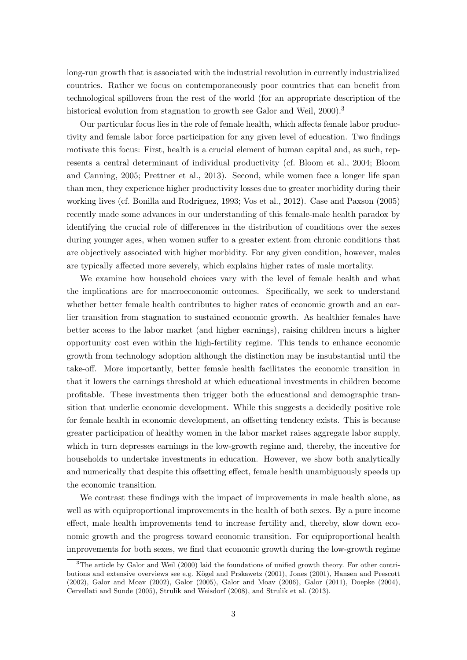long-run growth that is associated with the industrial revolution in currently industrialized countries. Rather we focus on contemporaneously poor countries that can benefit from technological spillovers from the rest of the world (for an appropriate description of the historical evolution from stagnation to growth see Galor and Weil, 2000).<sup>3</sup>

Our particular focus lies in the role of female health, which affects female labor productivity and female labor force participation for any given level of education. Two findings motivate this focus: First, health is a crucial element of human capital and, as such, represents a central determinant of individual productivity (cf. Bloom et al., 2004; Bloom and Canning, 2005; Prettner et al., 2013). Second, while women face a longer life span than men, they experience higher productivity losses due to greater morbidity during their working lives (cf. Bonilla and Rodriguez, 1993; Vos et al., 2012). Case and Paxson (2005) recently made some advances in our understanding of this female-male health paradox by identifying the crucial role of differences in the distribution of conditions over the sexes during younger ages, when women suffer to a greater extent from chronic conditions that are objectively associated with higher morbidity. For any given condition, however, males are typically affected more severely, which explains higher rates of male mortality.

We examine how household choices vary with the level of female health and what the implications are for macroeconomic outcomes. Specifically, we seek to understand whether better female health contributes to higher rates of economic growth and an earlier transition from stagnation to sustained economic growth. As healthier females have better access to the labor market (and higher earnings), raising children incurs a higher opportunity cost even within the high-fertility regime. This tends to enhance economic growth from technology adoption although the distinction may be insubstantial until the take-off. More importantly, better female health facilitates the economic transition in that it lowers the earnings threshold at which educational investments in children become profitable. These investments then trigger both the educational and demographic transition that underlie economic development. While this suggests a decidedly positive role for female health in economic development, an offsetting tendency exists. This is because greater participation of healthy women in the labor market raises aggregate labor supply, which in turn depresses earnings in the low-growth regime and, thereby, the incentive for households to undertake investments in education. However, we show both analytically and numerically that despite this offsetting effect, female health unambiguously speeds up the economic transition.

We contrast these findings with the impact of improvements in male health alone, as well as with equiproportional improvements in the health of both sexes. By a pure income effect, male health improvements tend to increase fertility and, thereby, slow down economic growth and the progress toward economic transition. For equiproportional health improvements for both sexes, we find that economic growth during the low-growth regime

<sup>&</sup>lt;sup>3</sup>The article by Galor and Weil (2000) laid the foundations of unified growth theory. For other contributions and extensive overviews see e.g. Kögel and Prskawetz (2001), Jones (2001), Hansen and Prescott (2002), Galor and Moav (2002), Galor (2005), Galor and Moav (2006), Galor (2011), Doepke (2004), Cervellati and Sunde (2005), Strulik and Weisdorf (2008), and Strulik et al. (2013).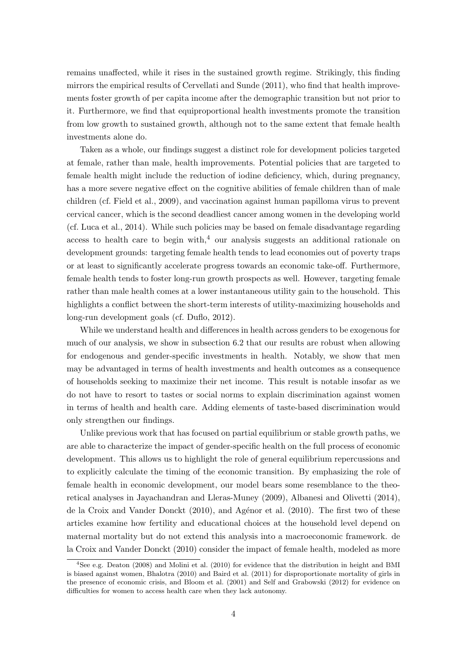remains unaffected, while it rises in the sustained growth regime. Strikingly, this finding mirrors the empirical results of Cervellati and Sunde (2011), who find that health improvements foster growth of per capita income after the demographic transition but not prior to it. Furthermore, we find that equiproportional health investments promote the transition from low growth to sustained growth, although not to the same extent that female health investments alone do.

Taken as a whole, our findings suggest a distinct role for development policies targeted at female, rather than male, health improvements. Potential policies that are targeted to female health might include the reduction of iodine deficiency, which, during pregnancy, has a more severe negative effect on the cognitive abilities of female children than of male children (cf. Field et al., 2009), and vaccination against human papilloma virus to prevent cervical cancer, which is the second deadliest cancer among women in the developing world (cf. Luca et al., 2014). While such policies may be based on female disadvantage regarding access to health care to begin with,<sup>4</sup> our analysis suggests an additional rationale on development grounds: targeting female health tends to lead economies out of poverty traps or at least to significantly accelerate progress towards an economic take-off. Furthermore, female health tends to foster long-run growth prospects as well. However, targeting female rather than male health comes at a lower instantaneous utility gain to the household. This highlights a conflict between the short-term interests of utility-maximizing households and long-run development goals (cf. Duflo, 2012).

While we understand health and differences in health across genders to be exogenous for much of our analysis, we show in subsection 6.2 that our results are robust when allowing for endogenous and gender-specific investments in health. Notably, we show that men may be advantaged in terms of health investments and health outcomes as a consequence of households seeking to maximize their net income. This result is notable insofar as we do not have to resort to tastes or social norms to explain discrimination against women in terms of health and health care. Adding elements of taste-based discrimination would only strengthen our findings.

Unlike previous work that has focused on partial equilibrium or stable growth paths, we are able to characterize the impact of gender-specific health on the full process of economic development. This allows us to highlight the role of general equilibrium repercussions and to explicitly calculate the timing of the economic transition. By emphasizing the role of female health in economic development, our model bears some resemblance to the theoretical analyses in Jayachandran and Lleras-Muney (2009), Albanesi and Olivetti (2014), de la Croix and Vander Donckt (2010), and Agénor et al. (2010). The first two of these articles examine how fertility and educational choices at the household level depend on maternal mortality but do not extend this analysis into a macroeconomic framework. de la Croix and Vander Donckt (2010) consider the impact of female health, modeled as more

<sup>4</sup>See e.g. Deaton (2008) and Molini et al. (2010) for evidence that the distribution in height and BMI is biased against women, Bhalotra (2010) and Baird et al. (2011) for disproportionate mortality of girls in the presence of economic crisis, and Bloom et al. (2001) and Self and Grabowski (2012) for evidence on difficulties for women to access health care when they lack autonomy.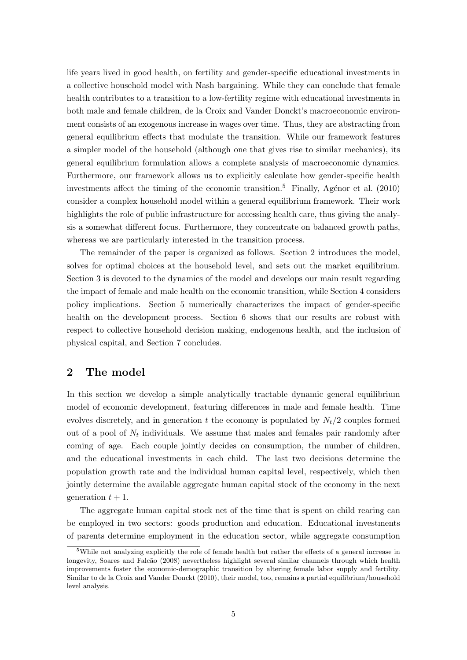life years lived in good health, on fertility and gender-specific educational investments in a collective household model with Nash bargaining. While they can conclude that female health contributes to a transition to a low-fertility regime with educational investments in both male and female children, de la Croix and Vander Donckt's macroeconomic environment consists of an exogenous increase in wages over time. Thus, they are abstracting from general equilibrium effects that modulate the transition. While our framework features a simpler model of the household (although one that gives rise to similar mechanics), its general equilibrium formulation allows a complete analysis of macroeconomic dynamics. Furthermore, our framework allows us to explicitly calculate how gender-specific health investments affect the timing of the economic transition.<sup>5</sup> Finally, Agénor et al. (2010) consider a complex household model within a general equilibrium framework. Their work highlights the role of public infrastructure for accessing health care, thus giving the analysis a somewhat different focus. Furthermore, they concentrate on balanced growth paths, whereas we are particularly interested in the transition process.

The remainder of the paper is organized as follows. Section 2 introduces the model, solves for optimal choices at the household level, and sets out the market equilibrium. Section 3 is devoted to the dynamics of the model and develops our main result regarding the impact of female and male health on the economic transition, while Section 4 considers policy implications. Section 5 numerically characterizes the impact of gender-specific health on the development process. Section 6 shows that our results are robust with respect to collective household decision making, endogenous health, and the inclusion of physical capital, and Section 7 concludes.

## 2 The model

In this section we develop a simple analytically tractable dynamic general equilibrium model of economic development, featuring differences in male and female health. Time evolves discretely, and in generation t the economy is populated by  $N_t/2$  couples formed out of a pool of  $N_t$  individuals. We assume that males and females pair randomly after coming of age. Each couple jointly decides on consumption, the number of children, and the educational investments in each child. The last two decisions determine the population growth rate and the individual human capital level, respectively, which then jointly determine the available aggregate human capital stock of the economy in the next generation  $t + 1$ .

The aggregate human capital stock net of the time that is spent on child rearing can be employed in two sectors: goods production and education. Educational investments of parents determine employment in the education sector, while aggregate consumption

<sup>&</sup>lt;sup>5</sup>While not analyzing explicitly the role of female health but rather the effects of a general increase in longevity, Soares and Falcão (2008) nevertheless highlight several similar channels through which health improvements foster the economic-demographic transition by altering female labor supply and fertility. Similar to de la Croix and Vander Donckt (2010), their model, too, remains a partial equilibrium/household level analysis.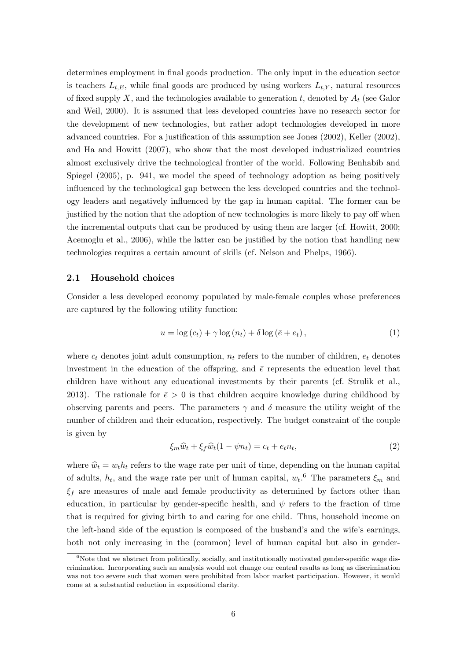determines employment in final goods production. The only input in the education sector is teachers  $L_{t,E}$ , while final goods are produced by using workers  $L_{t,Y}$ , natural resources of fixed supply X, and the technologies available to generation t, denoted by  $A_t$  (see Galor and Weil, 2000). It is assumed that less developed countries have no research sector for the development of new technologies, but rather adopt technologies developed in more advanced countries. For a justification of this assumption see Jones (2002), Keller (2002), and Ha and Howitt (2007), who show that the most developed industrialized countries almost exclusively drive the technological frontier of the world. Following Benhabib and Spiegel (2005), p. 941, we model the speed of technology adoption as being positively influenced by the technological gap between the less developed countries and the technology leaders and negatively influenced by the gap in human capital. The former can be justified by the notion that the adoption of new technologies is more likely to pay off when the incremental outputs that can be produced by using them are larger (cf. Howitt, 2000; Acemoglu et al., 2006), while the latter can be justified by the notion that handling new technologies requires a certain amount of skills (cf. Nelson and Phelps, 1966).

#### 2.1 Household choices

Consider a less developed economy populated by male-female couples whose preferences are captured by the following utility function:

$$
u = \log(c_t) + \gamma \log(n_t) + \delta \log(\bar{e} + e_t), \qquad (1)
$$

where  $c_t$  denotes joint adult consumption,  $n_t$  refers to the number of children,  $e_t$  denotes investment in the education of the offspring, and  $\bar{e}$  represents the education level that children have without any educational investments by their parents (cf. Strulik et al., 2013). The rationale for  $\bar{e} > 0$  is that children acquire knowledge during childhood by observing parents and peers. The parameters  $\gamma$  and  $\delta$  measure the utility weight of the number of children and their education, respectively. The budget constraint of the couple is given by

$$
\xi_m \hat{w}_t + \xi_f \hat{w}_t (1 - \psi n_t) = c_t + e_t n_t, \tag{2}
$$

where  $\hat{w}_t = w_t h_t$  refers to the wage rate per unit of time, depending on the human capital of adults,  $h_t$ , and the wage rate per unit of human capital,  $w_t$ <sup>6</sup>. The parameters  $\xi_m$  and  $\xi_f$  are measures of male and female productivity as determined by factors other than education, in particular by gender-specific health, and  $\psi$  refers to the fraction of time that is required for giving birth to and caring for one child. Thus, household income on the left-hand side of the equation is composed of the husband's and the wife's earnings, both not only increasing in the (common) level of human capital but also in gender-

 $6N$ ote that we abstract from politically, socially, and institutionally motivated gender-specific wage discrimination. Incorporating such an analysis would not change our central results as long as discrimination was not too severe such that women were prohibited from labor market participation. However, it would come at a substantial reduction in expositional clarity.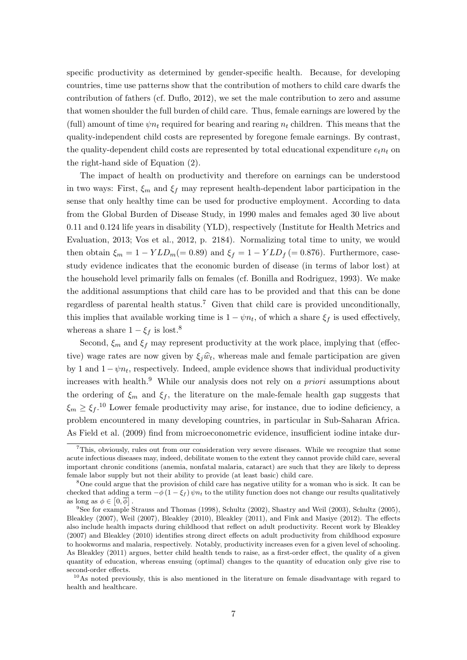specific productivity as determined by gender-specific health. Because, for developing countries, time use patterns show that the contribution of mothers to child care dwarfs the contribution of fathers (cf. Duflo, 2012), we set the male contribution to zero and assume that women shoulder the full burden of child care. Thus, female earnings are lowered by the (full) amount of time  $\psi n_t$  required for bearing and rearing  $n_t$  children. This means that the quality-independent child costs are represented by foregone female earnings. By contrast, the quality-dependent child costs are represented by total educational expenditure  $e_t n_t$  on the right-hand side of Equation (2).

The impact of health on productivity and therefore on earnings can be understood in two ways: First,  $\xi_m$  and  $\xi_f$  may represent health-dependent labor participation in the sense that only healthy time can be used for productive employment. According to data from the Global Burden of Disease Study, in 1990 males and females aged 30 live about 0.11 and 0.124 life years in disability (YLD), respectively (Institute for Health Metrics and Evaluation, 2013; Vos et al., 2012, p. 2184). Normalizing total time to unity, we would then obtain  $\xi_m = 1 - YLD_m(= 0.89)$  and  $\xi_f = 1 - YLD_f(= 0.876)$ . Furthermore, casestudy evidence indicates that the economic burden of disease (in terms of labor lost) at the household level primarily falls on females (cf. Bonilla and Rodriguez, 1993). We make the additional assumptions that child care has to be provided and that this can be done regardless of parental health status.<sup>7</sup> Given that child care is provided unconditionally, this implies that available working time is  $1 - \psi n_t$ , of which a share  $\xi_f$  is used effectively, whereas a share  $1 - \xi_f$  is lost.<sup>8</sup>

Second,  $\xi_m$  and  $\xi_f$  may represent productivity at the work place, implying that (effective) wage rates are now given by  $\xi_j \hat{w}_t$ , whereas male and female participation are given by 1 and  $1-\psi n_t$ , respectively. Indeed, ample evidence shows that individual productivity increases with health.<sup>9</sup> While our analysis does not rely on a priori assumptions about the ordering of  $\xi_m$  and  $\xi_f$ , the literature on the male-female health gap suggests that  $\xi_m \geq \xi_f$ <sup>10</sup> Lower female productivity may arise, for instance, due to iodine deficiency, a problem encountered in many developing countries, in particular in Sub-Saharan Africa. As Field et al. (2009) find from microeconometric evidence, insufficient iodine intake dur-

<sup>7</sup>This, obviously, rules out from our consideration very severe diseases. While we recognize that some acute infectious diseases may, indeed, debilitate women to the extent they cannot provide child care, several important chronic conditions (anemia, nonfatal malaria, cataract) are such that they are likely to depress female labor supply but not their ability to provide (at least basic) child care.

<sup>8</sup>One could argue that the provision of child care has negative utility for a woman who is sick. It can be checked that adding a term  $-\phi(1-\xi_f)\psi_n$  to the utility function does not change our results qualitatively as long as  $\phi \in [0, \overline{\phi}]$ .

<sup>9</sup>See for example Strauss and Thomas (1998), Schultz (2002), Shastry and Weil (2003), Schultz (2005), Bleakley (2007), Weil (2007), Bleakley (2010), Bleakley (2011), and Fink and Masiye (2012). The effects also include health impacts during childhood that reflect on adult productivity. Recent work by Bleakley (2007) and Bleakley (2010) identifies strong direct effects on adult productivity from childhood exposure to hookworms and malaria, respectively. Notably, productivity increases even for a given level of schooling. As Bleakley (2011) argues, better child health tends to raise, as a first-order effect, the quality of a given quantity of education, whereas ensuing (optimal) changes to the quantity of education only give rise to second-order effects.

 $10\text{As}$  noted previously, this is also mentioned in the literature on female disadvantage with regard to health and healthcare.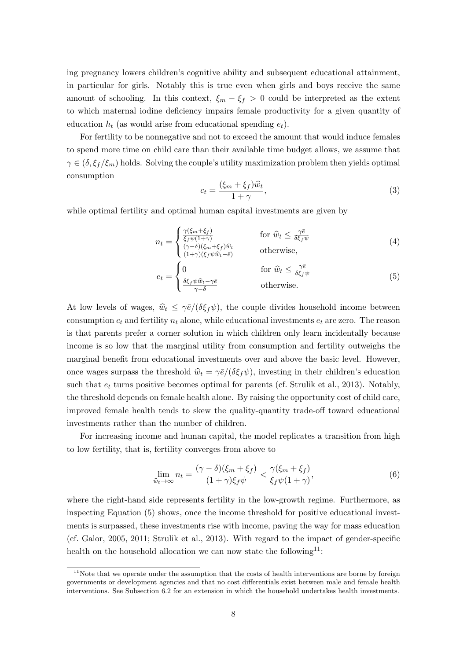ing pregnancy lowers children's cognitive ability and subsequent educational attainment, in particular for girls. Notably this is true even when girls and boys receive the same amount of schooling. In this context,  $\xi_m - \xi_f > 0$  could be interpreted as the extent to which maternal iodine deficiency impairs female productivity for a given quantity of education  $h_t$  (as would arise from educational spending  $e_t$ ).

For fertility to be nonnegative and not to exceed the amount that would induce females to spend more time on child care than their available time budget allows, we assume that  $\gamma \in (\delta, \xi_f/\xi_m)$  holds. Solving the couple's utility maximization problem then yields optimal consumption

$$
c_t = \frac{(\xi_m + \xi_f)\widehat{w}_t}{1 + \gamma},\tag{3}
$$

while optimal fertility and optimal human capital investments are given by

$$
n_{t} = \begin{cases} \frac{\gamma(\xi_{m} + \xi_{f})}{\xi_{f}\psi(1+\gamma)} & \text{for } \hat{w}_{t} \leq \frac{\gamma\bar{e}}{\delta\xi_{f}\psi} \\ \frac{(\gamma-\delta)(\xi_{m} + \xi_{f})\hat{w}_{t}}{(1+\gamma)(\xi_{f}\psi\hat{w}_{t} - \bar{e})} & \text{otherwise,} \end{cases}
$$
(4)  

$$
e_{t} = \begin{cases} 0 & \text{for } \hat{w}_{t} \leq \frac{\gamma\bar{e}}{\delta\xi_{f}\psi} \\ \frac{\delta\xi_{f}\psi\hat{w}_{t} - \gamma\bar{e}}{\gamma-\delta} & \text{otherwise.} \end{cases}
$$
(5)

At low levels of wages,  $\hat{w}_t \leq \gamma \bar{e}/(\delta \xi_f \psi)$ , the couple divides household income between consumption  $c_t$  and fertility  $n_t$  alone, while educational investments  $e_t$  are zero. The reason is that parents prefer a corner solution in which children only learn incidentally because income is so low that the marginal utility from consumption and fertility outweighs the marginal benefit from educational investments over and above the basic level. However, once wages surpass the threshold  $\hat{w}_t = \gamma \bar{e}/(\delta \xi_f \psi)$ , investing in their children's education such that  $e_t$  turns positive becomes optimal for parents (cf. Strulik et al., 2013). Notably, the threshold depends on female health alone. By raising the opportunity cost of child care, improved female health tends to skew the quality-quantity trade-off toward educational investments rather than the number of children.

For increasing income and human capital, the model replicates a transition from high to low fertility, that is, fertility converges from above to

$$
\lim_{\widehat{w}_t \to \infty} n_t = \frac{(\gamma - \delta)(\xi_m + \xi_f)}{(1 + \gamma)\xi_f \psi} < \frac{\gamma(\xi_m + \xi_f)}{\xi_f \psi(1 + \gamma)},\tag{6}
$$

where the right-hand side represents fertility in the low-growth regime. Furthermore, as inspecting Equation (5) shows, once the income threshold for positive educational investments is surpassed, these investments rise with income, paving the way for mass education (cf. Galor, 2005, 2011; Strulik et al., 2013). With regard to the impact of gender-specific health on the household allocation we can now state the following<sup>11</sup>:

 $11$ Note that we operate under the assumption that the costs of health interventions are borne by foreign governments or development agencies and that no cost differentials exist between male and female health interventions. See Subsection 6.2 for an extension in which the household undertakes health investments.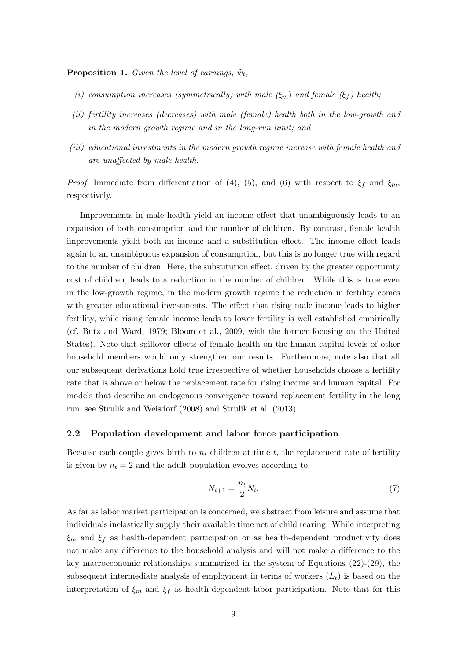**Proposition 1.** Given the level of earnings,  $\widehat{w}_t$ ,

- (i) consumption increases (symmetrically) with male  $(\xi_m)$  and female  $(\xi_f)$  health;
- (ii) fertility increases (decreases) with male (female) health both in the low-growth and in the modern growth regime and in the long-run limit; and
- (iii) educational investments in the modern growth regime increase with female health and are unaffected by male health.

*Proof.* Immediate from differentiation of (4), (5), and (6) with respect to  $\xi_f$  and  $\xi_m$ , respectively.

Improvements in male health yield an income effect that unambiguously leads to an expansion of both consumption and the number of children. By contrast, female health improvements yield both an income and a substitution effect. The income effect leads again to an unambiguous expansion of consumption, but this is no longer true with regard to the number of children. Here, the substitution effect, driven by the greater opportunity cost of children, leads to a reduction in the number of children. While this is true even in the low-growth regime, in the modern growth regime the reduction in fertility comes with greater educational investments. The effect that rising male income leads to higher fertility, while rising female income leads to lower fertility is well established empirically (cf. Butz and Ward, 1979; Bloom et al., 2009, with the former focusing on the United States). Note that spillover effects of female health on the human capital levels of other household members would only strengthen our results. Furthermore, note also that all our subsequent derivations hold true irrespective of whether households choose a fertility rate that is above or below the replacement rate for rising income and human capital. For models that describe an endogenous convergence toward replacement fertility in the long run, see Strulik and Weisdorf (2008) and Strulik et al. (2013).

#### 2.2 Population development and labor force participation

Because each couple gives birth to  $n_t$  children at time t, the replacement rate of fertility is given by  $n_t = 2$  and the adult population evolves according to

$$
N_{t+1} = \frac{n_t}{2} N_t. \tag{7}
$$

As far as labor market participation is concerned, we abstract from leisure and assume that individuals inelastically supply their available time net of child rearing. While interpreting  $\xi_m$  and  $\xi_f$  as health-dependent participation or as health-dependent productivity does not make any difference to the household analysis and will not make a difference to the key macroeconomic relationships summarized in the system of Equations (22)-(29), the subsequent intermediate analysis of employment in terms of workers  $(L_t)$  is based on the interpretation of  $\xi_m$  and  $\xi_f$  as health-dependent labor participation. Note that for this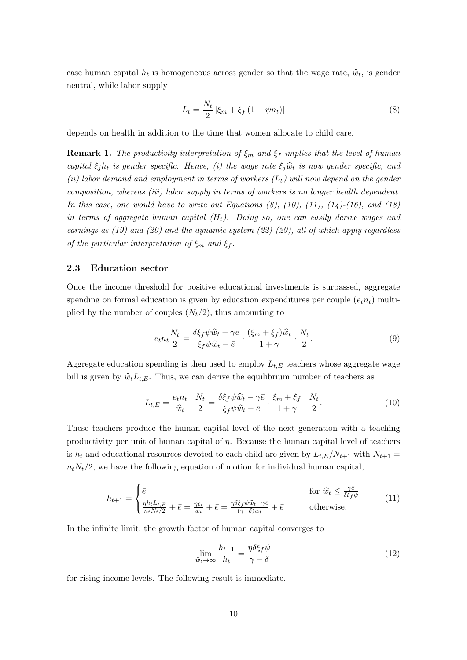case human capital  $h_t$  is homogeneous across gender so that the wage rate,  $\hat{w}_t$ , is gender neutral, while labor supply

$$
L_t = \frac{N_t}{2} \left[ \xi_m + \xi_f \left( 1 - \psi n_t \right) \right] \tag{8}
$$

depends on health in addition to the time that women allocate to child care.

**Remark 1.** The productivity interpretation of  $\xi_m$  and  $\xi_f$  implies that the level of human capital  $\xi_i h_t$  is gender specific. Hence, (i) the wage rate  $\xi_i \hat{w}_t$  is now gender specific, and (ii) labor demand and employment in terms of workers  $(L_t)$  will now depend on the gender composition, whereas (iii) labor supply in terms of workers is no longer health dependent. In this case, one would have to write out Equations  $(8)$ ,  $(10)$ ,  $(11)$ ,  $(14)$ - $(16)$ , and  $(18)$ in terms of aggregate human capital  $(H_t)$ . Doing so, one can easily derive wages and earnings as  $(19)$  and  $(20)$  and the dynamic system  $(22)-(29)$ , all of which apply regardless of the particular interpretation of  $\xi_m$  and  $\xi_f$ .

#### 2.3 Education sector

Once the income threshold for positive educational investments is surpassed, aggregate spending on formal education is given by education expenditures per couple  $(e_t n_t)$  multiplied by the number of couples  $(N_t/2)$ , thus amounting to

$$
e_t n_t \frac{N_t}{2} = \frac{\delta \xi_f \psi \widehat{w}_t - \gamma \bar{e}}{\xi_f \psi \widehat{w}_t - \bar{e}} \cdot \frac{(\xi_m + \xi_f) \widehat{w}_t}{1 + \gamma} \cdot \frac{N_t}{2}.
$$
 (9)

Aggregate education spending is then used to employ  $L_{t,E}$  teachers whose aggregate wage bill is given by  $\hat{w}_t L_{t,E}$ . Thus, we can derive the equilibrium number of teachers as

$$
L_{t,E} = \frac{e_t n_t}{\hat{w}_t} \cdot \frac{N_t}{2} = \frac{\delta \xi_f \psi \hat{w}_t - \gamma \bar{e}}{\xi_f \psi \hat{w}_t - \bar{e}} \cdot \frac{\xi_m + \xi_f}{1 + \gamma} \cdot \frac{N_t}{2}.
$$
(10)

These teachers produce the human capital level of the next generation with a teaching productivity per unit of human capital of  $\eta$ . Because the human capital level of teachers is  $h_t$  and educational resources devoted to each child are given by  $L_{t,E}/N_{t+1}$  with  $N_{t+1}$  $n_tN_t/2$ , we have the following equation of motion for individual human capital,

$$
h_{t+1} = \begin{cases} \bar{e} & \text{for } \hat{w}_t \le \frac{\gamma \bar{e}}{\delta \xi_f \psi} \\ \frac{\eta h_t L_{t,E}}{n_t N_t / 2} + \bar{e} = \frac{\eta e_t}{w_t} + \bar{e} = \frac{\eta \delta \xi_f \psi \hat{w}_t - \gamma \bar{e}}{(\gamma - \delta) w_t} + \bar{e} & \text{otherwise.} \end{cases}
$$
(11)

In the infinite limit, the growth factor of human capital converges to

$$
\lim_{\hat{w}_t \to \infty} \frac{h_{t+1}}{h_t} = \frac{\eta \delta \xi_f \psi}{\gamma - \delta} \tag{12}
$$

for rising income levels. The following result is immediate.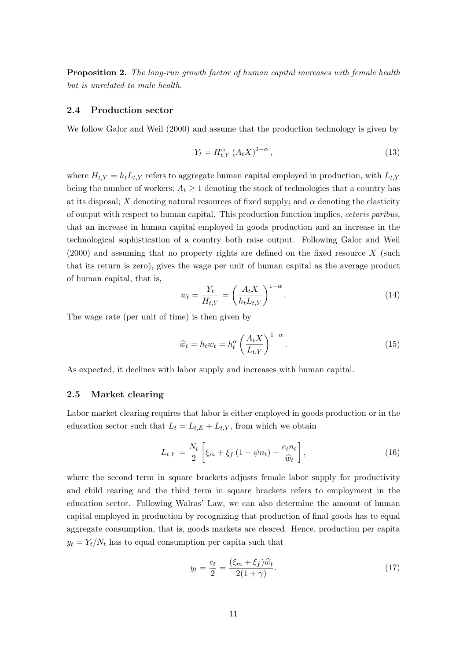Proposition 2. The long-run growth factor of human capital increases with female health but is unrelated to male health.

#### 2.4 Production sector

We follow Galor and Weil (2000) and assume that the production technology is given by

$$
Y_t = H_{t,Y}^{\alpha} \left( A_t X \right)^{1-\alpha},\tag{13}
$$

where  $H_{t,Y} = h_t L_{t,Y}$  refers to aggregate human capital employed in production, with  $L_{t,Y}$ being the number of workers;  $A_t \geq 1$  denoting the stock of technologies that a country has at its disposal; X denoting natural resources of fixed supply; and  $\alpha$  denoting the elasticity of output with respect to human capital. This production function implies, ceteris paribus, that an increase in human capital employed in goods production and an increase in the technological sophistication of a country both raise output. Following Galor and Weil  $(2000)$  and assuming that no property rights are defined on the fixed resource X (such that its return is zero), gives the wage per unit of human capital as the average product of human capital, that is,

$$
w_t = \frac{Y_t}{H_{t,Y}} = \left(\frac{A_t X}{h_t L_{t,Y}}\right)^{1-\alpha}.
$$
\n(14)

The wage rate (per unit of time) is then given by

$$
\widehat{w}_t = h_t w_t = h_t^{\alpha} \left( \frac{A_t X}{L_{t,Y}} \right)^{1-\alpha}.
$$
\n(15)

As expected, it declines with labor supply and increases with human capital.

#### 2.5 Market clearing

Labor market clearing requires that labor is either employed in goods production or in the education sector such that  $L_t = L_{t,E} + L_{t,Y}$ , from which we obtain

$$
L_{t,Y} = \frac{N_t}{2} \left[ \xi_m + \xi_f \left( 1 - \psi n_t \right) - \frac{e_t n_t}{\hat{w}_t} \right],\tag{16}
$$

where the second term in square brackets adjusts female labor supply for productivity and child rearing and the third term in square brackets refers to employment in the education sector. Following Walras' Law, we can also determine the amount of human capital employed in production by recognizing that production of final goods has to equal aggregate consumption, that is, goods markets are cleared. Hence, production per capita  $y_t = Y_t/N_t$  has to equal consumption per capita such that

$$
y_t = \frac{c_t}{2} = \frac{(\xi_m + \xi_f)\widehat{w}_t}{2(1+\gamma)}.
$$
\n
$$
(17)
$$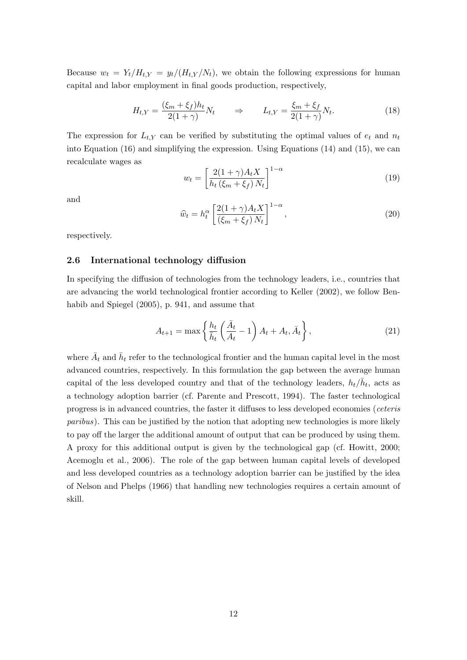Because  $w_t = Y_t/H_{t,Y} = y_t/(H_{t,Y}/N_t)$ , we obtain the following expressions for human capital and labor employment in final goods production, respectively,

$$
H_{t,Y} = \frac{(\xi_m + \xi_f)h_t}{2(1+\gamma)}N_t \qquad \Rightarrow \qquad L_{t,Y} = \frac{\xi_m + \xi_f}{2(1+\gamma)}N_t. \tag{18}
$$

The expression for  $L_{t,Y}$  can be verified by substituting the optimal values of  $e_t$  and  $n_t$ into Equation (16) and simplifying the expression. Using Equations (14) and (15), we can recalculate wages as

$$
w_t = \left[\frac{2(1+\gamma)A_t X}{h_t(\xi_m + \xi_f)N_t}\right]^{1-\alpha} \tag{19}
$$

and

$$
\widehat{w}_t = h_t^{\alpha} \left[ \frac{2(1+\gamma)A_t X}{(\xi_m + \xi_f) N_t} \right]^{1-\alpha},\tag{20}
$$

respectively.

#### 2.6 International technology diffusion

In specifying the diffusion of technologies from the technology leaders, i.e., countries that are advancing the world technological frontier according to Keller (2002), we follow Benhabib and Spiegel (2005), p. 941, and assume that

$$
A_{t+1} = \max\left\{\frac{h_t}{\bar{h}_t}\left(\frac{\bar{A}_t}{A_t} - 1\right)A_t + A_t, \bar{A}_t\right\},\tag{21}
$$

where  $\bar{A}_t$  and  $\bar{h}_t$  refer to the technological frontier and the human capital level in the most advanced countries, respectively. In this formulation the gap between the average human capital of the less developed country and that of the technology leaders,  $h_t/\bar{h}_t$ , acts as a technology adoption barrier (cf. Parente and Prescott, 1994). The faster technological progress is in advanced countries, the faster it diffuses to less developed economies (ceteris paribus). This can be justified by the notion that adopting new technologies is more likely to pay off the larger the additional amount of output that can be produced by using them. A proxy for this additional output is given by the technological gap (cf. Howitt, 2000; Acemoglu et al., 2006). The role of the gap between human capital levels of developed and less developed countries as a technology adoption barrier can be justified by the idea of Nelson and Phelps (1966) that handling new technologies requires a certain amount of skill.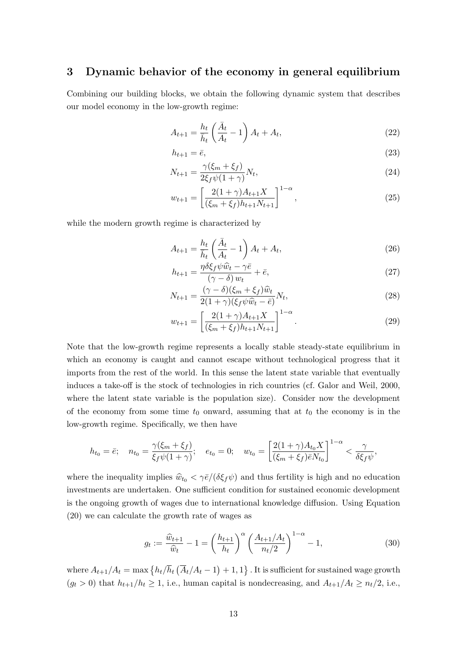### 3 Dynamic behavior of the economy in general equilibrium

Combining our building blocks, we obtain the following dynamic system that describes our model economy in the low-growth regime:

$$
A_{t+1} = \frac{h_t}{\bar{h}_t} \left(\frac{\bar{A}_t}{A_t} - 1\right) A_t + A_t,\tag{22}
$$

$$
h_{t+1} = \bar{e},\tag{23}
$$

$$
N_{t+1} = \frac{\gamma(\xi_m + \xi_f)}{2\xi_f \psi(1 + \gamma)} N_t,
$$
\n(24)

$$
w_{t+1} = \left[\frac{2(1+\gamma)A_{t+1}X}{(\xi_m + \xi_f)h_{t+1}N_{t+1}}\right]^{1-\alpha},\tag{25}
$$

while the modern growth regime is characterized by

$$
A_{t+1} = \frac{h_t}{\bar{h}_t} \left(\frac{\bar{A}_t}{A_t} - 1\right) A_t + A_t,\tag{26}
$$

$$
h_{t+1} = \frac{\eta \delta \xi_f \psi \hat{w}_t - \gamma \bar{e}}{(\gamma - \delta) w_t} + \bar{e},\tag{27}
$$

$$
N_{t+1} = \frac{(\gamma - \delta)(\xi_m + \xi_f)\widehat{w}_t}{2(1 + \gamma)(\xi_f\psi\widehat{w}_t - \bar{e})}N_t,
$$
\n(28)

$$
w_{t+1} = \left[\frac{2(1+\gamma)A_{t+1}X}{(\xi_m + \xi_f)h_{t+1}N_{t+1}}\right]^{1-\alpha}.
$$
\n(29)

Note that the low-growth regime represents a locally stable steady-state equilibrium in which an economy is caught and cannot escape without technological progress that it imports from the rest of the world. In this sense the latent state variable that eventually induces a take-off is the stock of technologies in rich countries (cf. Galor and Weil, 2000, where the latent state variable is the population size). Consider now the development of the economy from some time  $t_0$  onward, assuming that at  $t_0$  the economy is in the low-growth regime. Specifically, we then have

$$
h_{t_0} = \bar{e}; \quad n_{t_0} = \frac{\gamma(\xi_m + \xi_f)}{\xi_f \psi(1 + \gamma)}; \quad e_{t_0} = 0; \quad w_{t_0} = \left[\frac{2(1 + \gamma)A_{t_0}X}{(\xi_m + \xi_f)\bar{e}N_{t_0}}\right]^{1 - \alpha} < \frac{\gamma}{\delta\xi_f\psi},
$$

where the inequality implies  $\hat{w}_{t_0} < \gamma \bar{e}/(\delta \xi_f \psi)$  and thus fertility is high and no education investments are undertaken. One sufficient condition for sustained economic development is the ongoing growth of wages due to international knowledge diffusion. Using Equation (20) we can calculate the growth rate of wages as

$$
g_t := \frac{\widehat{w}_{t+1}}{\widehat{w}_t} - 1 = \left(\frac{h_{t+1}}{h_t}\right)^{\alpha} \left(\frac{A_{t+1}/A_t}{n_t/2}\right)^{1-\alpha} - 1, \tag{30}
$$

where  $A_{t+1}/A_t = \max\left\{h_t/\overline{h}_t\left(\overline{A}_t/A_t - 1\right) + 1, 1\right\}$ . It is sufficient for sustained wage growth  $(g_t > 0)$  that  $h_{t+1}/h_t \geq 1$ , i.e., human capital is nondecreasing, and  $A_{t+1}/A_t \geq n_t/2$ , i.e.,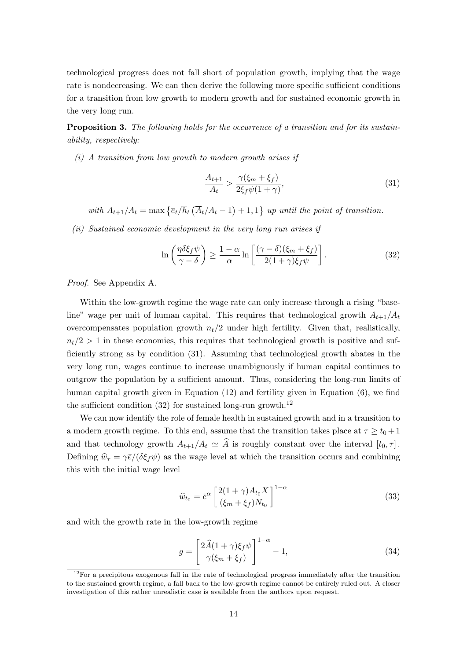technological progress does not fall short of population growth, implying that the wage rate is nondecreasing. We can then derive the following more specific sufficient conditions for a transition from low growth to modern growth and for sustained economic growth in the very long run.

**Proposition 3.** The following holds for the occurrence of a transition and for its sustainability, respectively:

 $(i)$  A transition from low growth to modern growth arises if

$$
\frac{A_{t+1}}{A_t} > \frac{\gamma(\xi_m + \xi_f)}{2\xi_f \psi(1 + \gamma)},\tag{31}
$$

with  $A_{t+1}/A_t = \max \left\{ \overline{e}_t / \overline{h}_t \left( \overline{A}_t / A_t - 1 \right) + 1, 1 \right\}$  up until the point of transition.

(ii) Sustained economic development in the very long run arises if

$$
\ln\left(\frac{\eta\delta\xi_f\psi}{\gamma-\delta}\right) \ge \frac{1-\alpha}{\alpha}\ln\left[\frac{(\gamma-\delta)(\xi_m+\xi_f)}{2(1+\gamma)\xi_f\psi}\right].
$$
\n(32)

Proof. See Appendix A.

Within the low-growth regime the wage rate can only increase through a rising "baseline" wage per unit of human capital. This requires that technological growth  $A_{t+1}/A_t$ overcompensates population growth  $n_t/2$  under high fertility. Given that, realistically,  $n_t/2 > 1$  in these economies, this requires that technological growth is positive and sufficiently strong as by condition (31). Assuming that technological growth abates in the very long run, wages continue to increase unambiguously if human capital continues to outgrow the population by a sufficient amount. Thus, considering the long-run limits of human capital growth given in Equation (12) and fertility given in Equation (6), we find the sufficient condition  $(32)$  for sustained long-run growth.<sup>12</sup>

We can now identify the role of female health in sustained growth and in a transition to a modern growth regime. To this end, assume that the transition takes place at  $\tau \geq t_0 + 1$ and that technology growth  $A_{t+1}/A_t \simeq \widehat{A}$  is roughly constant over the interval  $[t_0, \tau]$ . Defining  $\hat{w}_{\tau} = \gamma \bar{e}/(\delta \xi_f \psi)$  as the wage level at which the transition occurs and combining this with the initial wage level

$$
\widehat{w}_{t_0} = \bar{e}^{\alpha} \left[ \frac{2(1+\gamma)A_{t_0}X}{(\xi_m + \xi_f)N_{t_0}} \right]^{1-\alpha} \tag{33}
$$

and with the growth rate in the low-growth regime

 $\ddot{\cdot}$ 

$$
g = \left[\frac{2\widehat{A}(1+\gamma)\xi_f\psi}{\gamma(\xi_m+\xi_f)}\right]^{1-\alpha} - 1,\tag{34}
$$

 $12$ For a precipitous exogenous fall in the rate of technological progress immediately after the transition to the sustained growth regime, a fall back to the low-growth regime cannot be entirely ruled out. A closer investigation of this rather unrealistic case is available from the authors upon request.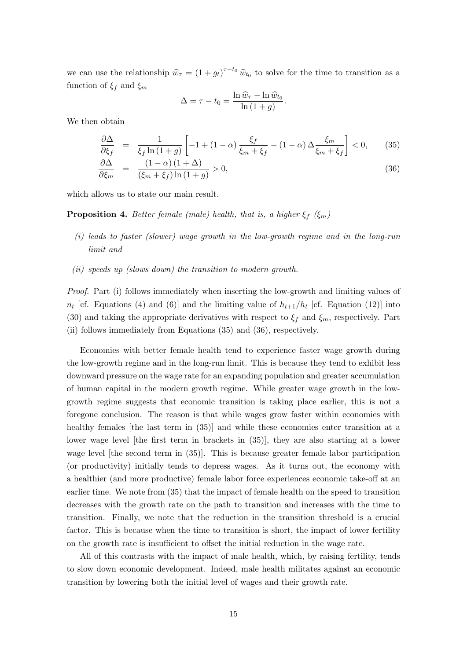we can use the relationship  $\hat{w}_{\tau} = (1 + g_t)^{\tau - t_0} \hat{w}_{t_0}$  to solve for the time to transition as a function of  $\xi_f$  and  $\xi_m$ 

$$
\Delta = \tau - t_0 = \frac{\ln \widehat{w}_{\tau} - \ln \widehat{w}_{t_0}}{\ln (1 + g)}.
$$

We then obtain

$$
\frac{\partial \Delta}{\partial \xi_f} = \frac{1}{\xi_f \ln(1+g)} \left[ -1 + (1-\alpha) \frac{\xi_f}{\xi_m + \xi_f} - (1-\alpha) \Delta \frac{\xi_m}{\xi_m + \xi_f} \right] < 0, \qquad (35)
$$
  

$$
\frac{\partial \Delta}{\partial \xi_m} = \frac{(1-\alpha)(1+\Delta)}{(\xi_m + \xi_f) \ln(1+g)} > 0, \qquad (36)
$$

which allows us to state our main result.

 $(\xi_m + \xi_f) \ln(1+g)$ 

**Proposition 4.** Better female (male) health, that is, a higher  $\xi_f$  ( $\xi_m$ )

- (i) leads to faster (slower) wage growth in the low-growth regime and in the long-run limit and
- (ii) speeds up (slows down) the transition to modern growth.

Proof. Part (i) follows immediately when inserting the low-growth and limiting values of  $n_t$  [cf. Equations (4) and (6)] and the limiting value of  $h_{t+1}/h_t$  [cf. Equation (12)] into (30) and taking the appropriate derivatives with respect to  $\xi_f$  and  $\xi_m$ , respectively. Part (ii) follows immediately from Equations (35) and (36), respectively.

Economies with better female health tend to experience faster wage growth during the low-growth regime and in the long-run limit. This is because they tend to exhibit less downward pressure on the wage rate for an expanding population and greater accumulation of human capital in the modern growth regime. While greater wage growth in the lowgrowth regime suggests that economic transition is taking place earlier, this is not a foregone conclusion. The reason is that while wages grow faster within economies with healthy females [the last term in (35)] and while these economies enter transition at a lower wage level [the first term in brackets in (35)], they are also starting at a lower wage level [the second term in (35)]. This is because greater female labor participation (or productivity) initially tends to depress wages. As it turns out, the economy with a healthier (and more productive) female labor force experiences economic take-off at an earlier time. We note from (35) that the impact of female health on the speed to transition decreases with the growth rate on the path to transition and increases with the time to transition. Finally, we note that the reduction in the transition threshold is a crucial factor. This is because when the time to transition is short, the impact of lower fertility on the growth rate is insufficient to offset the initial reduction in the wage rate.

All of this contrasts with the impact of male health, which, by raising fertility, tends to slow down economic development. Indeed, male health militates against an economic transition by lowering both the initial level of wages and their growth rate.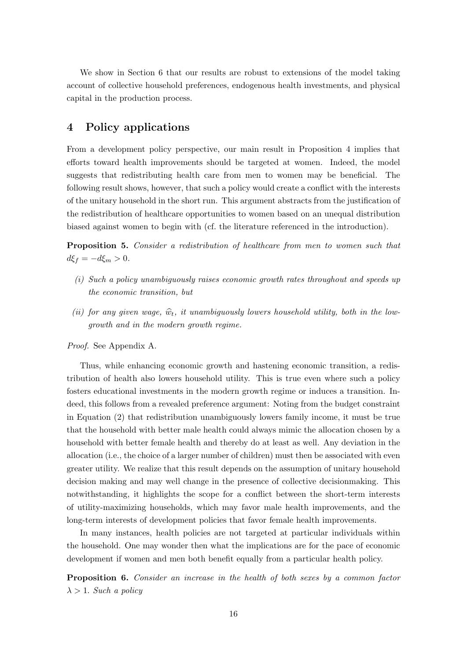We show in Section 6 that our results are robust to extensions of the model taking account of collective household preferences, endogenous health investments, and physical capital in the production process.

## 4 Policy applications

From a development policy perspective, our main result in Proposition 4 implies that efforts toward health improvements should be targeted at women. Indeed, the model suggests that redistributing health care from men to women may be beneficial. The following result shows, however, that such a policy would create a conflict with the interests of the unitary household in the short run. This argument abstracts from the justification of the redistribution of healthcare opportunities to women based on an unequal distribution biased against women to begin with (cf. the literature referenced in the introduction).

**Proposition 5.** Consider a redistribution of healthcare from men to women such that  $d\xi_f = -d\xi_m > 0.$ 

- (i) Such a policy unambiguously raises economic growth rates throughout and speeds up the economic transition, but
- (ii) for any given wage,  $\hat{w}_t$ , it unambiguously lowers household utility, both in the lowgrowth and in the modern growth regime.

Proof. See Appendix A.

Thus, while enhancing economic growth and hastening economic transition, a redistribution of health also lowers household utility. This is true even where such a policy fosters educational investments in the modern growth regime or induces a transition. Indeed, this follows from a revealed preference argument: Noting from the budget constraint in Equation (2) that redistribution unambiguously lowers family income, it must be true that the household with better male health could always mimic the allocation chosen by a household with better female health and thereby do at least as well. Any deviation in the allocation (i.e., the choice of a larger number of children) must then be associated with even greater utility. We realize that this result depends on the assumption of unitary household decision making and may well change in the presence of collective decisionmaking. This notwithstanding, it highlights the scope for a conflict between the short-term interests of utility-maximizing households, which may favor male health improvements, and the long-term interests of development policies that favor female health improvements.

In many instances, health policies are not targeted at particular individuals within the household. One may wonder then what the implications are for the pace of economic development if women and men both benefit equally from a particular health policy.

**Proposition 6.** Consider an increase in the health of both sexes by a common factor  $\lambda > 1$ . Such a policy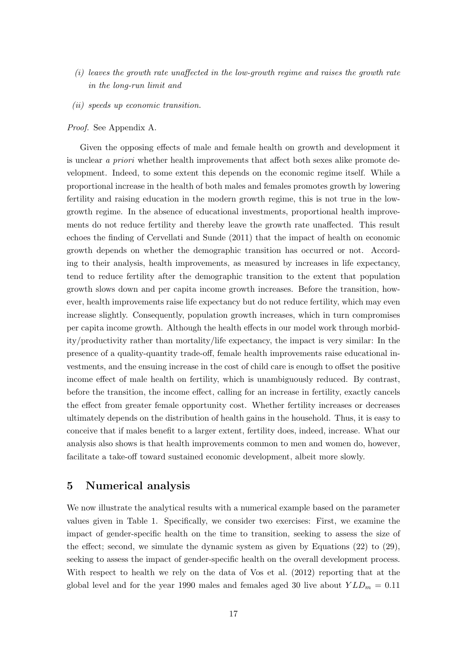- (i) leaves the growth rate unaffected in the low-growth regime and raises the growth rate in the long-run limit and
- (ii) speeds up economic transition.

#### Proof. See Appendix A.

Given the opposing effects of male and female health on growth and development it is unclear a priori whether health improvements that affect both sexes alike promote development. Indeed, to some extent this depends on the economic regime itself. While a proportional increase in the health of both males and females promotes growth by lowering fertility and raising education in the modern growth regime, this is not true in the lowgrowth regime. In the absence of educational investments, proportional health improvements do not reduce fertility and thereby leave the growth rate unaffected. This result echoes the finding of Cervellati and Sunde (2011) that the impact of health on economic growth depends on whether the demographic transition has occurred or not. According to their analysis, health improvements, as measured by increases in life expectancy, tend to reduce fertility after the demographic transition to the extent that population growth slows down and per capita income growth increases. Before the transition, however, health improvements raise life expectancy but do not reduce fertility, which may even increase slightly. Consequently, population growth increases, which in turn compromises per capita income growth. Although the health effects in our model work through morbidity/productivity rather than mortality/life expectancy, the impact is very similar: In the presence of a quality-quantity trade-off, female health improvements raise educational investments, and the ensuing increase in the cost of child care is enough to offset the positive income effect of male health on fertility, which is unambiguously reduced. By contrast, before the transition, the income effect, calling for an increase in fertility, exactly cancels the effect from greater female opportunity cost. Whether fertility increases or decreases ultimately depends on the distribution of health gains in the household. Thus, it is easy to conceive that if males benefit to a larger extent, fertility does, indeed, increase. What our analysis also shows is that health improvements common to men and women do, however, facilitate a take-off toward sustained economic development, albeit more slowly.

## 5 Numerical analysis

We now illustrate the analytical results with a numerical example based on the parameter values given in Table 1. Specifically, we consider two exercises: First, we examine the impact of gender-specific health on the time to transition, seeking to assess the size of the effect; second, we simulate the dynamic system as given by Equations (22) to (29), seeking to assess the impact of gender-specific health on the overall development process. With respect to health we rely on the data of Vos et al. (2012) reporting that at the global level and for the year 1990 males and females aged 30 live about  $YLD_m = 0.11$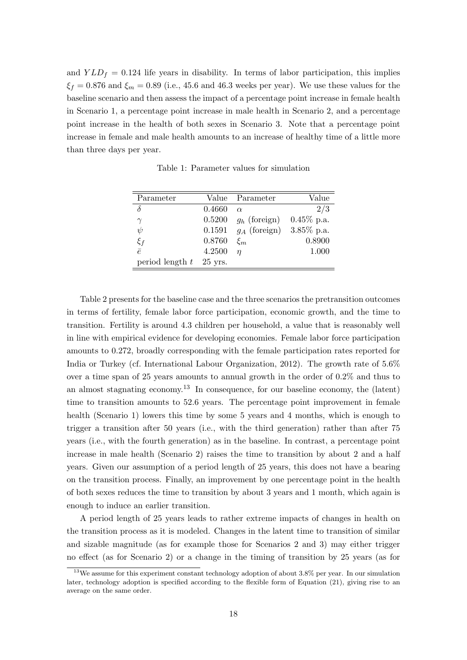and  $YLD_f = 0.124$  life years in disability. In terms of labor participation, this implies  $\xi_f = 0.876$  and  $\xi_m = 0.89$  (i.e., 45.6 and 46.3 weeks per year). We use these values for the baseline scenario and then assess the impact of a percentage point increase in female health in Scenario 1, a percentage point increase in male health in Scenario 2, and a percentage point increase in the health of both sexes in Scenario 3. Note that a percentage point increase in female and male health amounts to an increase of healthy time of a little more than three days per year.

| Parameter         | Value     | Parameter                  | Value         |
|-------------------|-----------|----------------------------|---------------|
| δ                 | 0.4660    | $\alpha$                   | 2/3           |
| $\gamma$          | 0.5200    | $g_h$ (foreign)            | $0.45\%$ p.a. |
| $\psi$            | 0.1591    | $g_A$ (foreign) 3.85% p.a. |               |
| $\xi_f$           | 0.8760    | $\xi_m$                    | 0.8900        |
| $\bar{e}$         | 4.2500    | п                          | 1.000         |
| period length $t$ | $25$ yrs. |                            |               |

Table 1: Parameter values for simulation

Table 2 presents for the baseline case and the three scenarios the pretransition outcomes in terms of fertility, female labor force participation, economic growth, and the time to transition. Fertility is around 4.3 children per household, a value that is reasonably well in line with empirical evidence for developing economies. Female labor force participation amounts to 0.272, broadly corresponding with the female participation rates reported for India or Turkey (cf. International Labour Organization, 2012). The growth rate of 5.6% over a time span of 25 years amounts to annual growth in the order of 0.2% and thus to an almost stagnating economy.<sup>13</sup> In consequence, for our baseline economy, the (latent) time to transition amounts to 52.6 years. The percentage point improvement in female health (Scenario 1) lowers this time by some 5 years and 4 months, which is enough to trigger a transition after 50 years (i.e., with the third generation) rather than after 75 years (i.e., with the fourth generation) as in the baseline. In contrast, a percentage point increase in male health (Scenario 2) raises the time to transition by about 2 and a half years. Given our assumption of a period length of 25 years, this does not have a bearing on the transition process. Finally, an improvement by one percentage point in the health of both sexes reduces the time to transition by about 3 years and 1 month, which again is enough to induce an earlier transition.

A period length of 25 years leads to rather extreme impacts of changes in health on the transition process as it is modeled. Changes in the latent time to transition of similar and sizable magnitude (as for example those for Scenarios 2 and 3) may either trigger no effect (as for Scenario 2) or a change in the timing of transition by 25 years (as for

 $13$ We assume for this experiment constant technology adoption of about 3.8% per year. In our simulation later, technology adoption is specified according to the flexible form of Equation (21), giving rise to an average on the same order.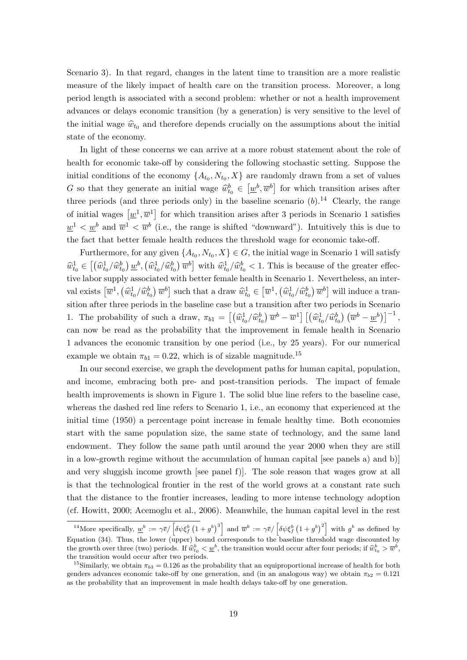Scenario 3). In that regard, changes in the latent time to transition are a more realistic measure of the likely impact of health care on the transition process. Moreover, a long period length is associated with a second problem: whether or not a health improvement advances or delays economic transition (by a generation) is very sensitive to the level of the initial wage  $\hat{w}_{t_0}$  and therefore depends crucially on the assumptions about the initial state of the economy.

In light of these concerns we can arrive at a more robust statement about the role of health for economic take-off by considering the following stochastic setting. Suppose the initial conditions of the economy  $\{A_{t_0}, N_{t_0}, X\}$  are randomly drawn from a set of values G so that they generate an initial wage  $\hat{w}_t^b \in [\underline{w}^b, \overline{w}^b]$  for which transition arises after three periods (and three periods only) in the baseline scenario  $(b)$ .<sup>14</sup> Clearly, the range of initial wages  $[\underline{w}^1, \overline{w}^1]$  for which transition arises after 3 periods in Scenario 1 satisfies  $\underline{w}^1 < \underline{w}^b$  and  $\overline{w}^1 < \overline{w}^b$  (i.e., the range is shifted "downward"). Intuitively this is due to the fact that better female health reduces the threshold wage for economic take-off.

Furthermore, for any given  $\{A_{t_0}, N_{t_0}, X\} \in G$ , the initial wage in Scenario 1 will satisfy  $\hat{w}_{t_0}^1 \in \left[ \left( \hat{w}_{t_0}^1 / \hat{w}_{t_0}^b \right) \underline{w}^b, \left( \hat{w}_{t_0}^1 / \hat{w}_{t_0}^b \right) \overline{w}^b \right]$  with  $\hat{w}_{t_0}^1 / \hat{w}_{t_0}^b < 1$ . This is because of the greater effective labor supply associated with better female health in Scenario 1. Nevertheless, an interval exists  $[\overline{w}^1, (\hat{w}_{t_0}^1/\hat{w}_{t_0}^b) \overline{w}^b]$  such that a draw  $\hat{w}_{t_0}^1 \in [\overline{w}^1, (\hat{w}_{t_0}^1/\hat{w}_{t_0}^b) \overline{w}^b]$  will induce a transition after three periods in the baseline case but a transition after two periods in Scenario 1. The probability of such a draw,  $\pi_{b1} = \left[ \left( \widehat{w}_{t_0}^1 / \widehat{w}_{t_0}^b \right) \overline{w}^b - \overline{w}^1 \right] \left[ \left( \widehat{w}_{t_0}^1 / \widehat{w}_{t_0}^b \right) \left( \overline{w}^b - \underline{w}^b \right) \right]^{-1}$ , can now be read as the probability that the improvement in female health in Scenario 1 advances the economic transition by one period (i.e., by 25 years). For our numerical example we obtain  $\pi_{b1} = 0.22$ , which is of sizable magnitude.<sup>15</sup>

In our second exercise, we graph the development paths for human capital, population, and income, embracing both pre- and post-transition periods. The impact of female health improvements is shown in Figure 1. The solid blue line refers to the baseline case, whereas the dashed red line refers to Scenario 1, i.e., an economy that experienced at the initial time (1950) a percentage point increase in female healthy time. Both economies start with the same population size, the same state of technology, and the same land endowment. They follow the same path until around the year 2000 when they are still in a low-growth regime without the accumulation of human capital [see panels a) and b)] and very sluggish income growth [see panel f)]. The sole reason that wages grow at all is that the technological frontier in the rest of the world grows at a constant rate such that the distance to the frontier increases, leading to more intense technology adoption (cf. Howitt, 2000; Acemoglu et al., 2006). Meanwhile, the human capital level in the rest

<sup>&</sup>lt;sup>14</sup>More specifically,  $\underline{w}^b := \gamma \overline{e} / \left[ \delta \psi \xi_f^b \left( 1 + g^b \right)^3 \right]$  and  $\overline{w}^b := \gamma \overline{e} / \left[ \delta \psi \xi_f^b \left( 1 + g^b \right)^2 \right]$  with  $g^b$  as defined by Equation (34). Thus, the lower (upper) bound corresponds to the baseline threshold wage discounted by the growth over three (two) periods. If  $\hat{w}_{t_0}^b \leq \underline{w}^b$ , the transition would occur after four periods; if  $\hat{w}_{t_0}^b > \overline{w}^b$ , the transition would come original property. the transition would occur after two periods.

<sup>&</sup>lt;sup>15</sup>Similarly, we obtain  $\pi_{b3} = 0.126$  as the probability that an equiproportional increase of health for both genders advances economic take-off by one generation, and (in an analogous way) we obtain  $\pi_{b2} = 0.121$ as the probability that an improvement in male health delays take-off by one generation.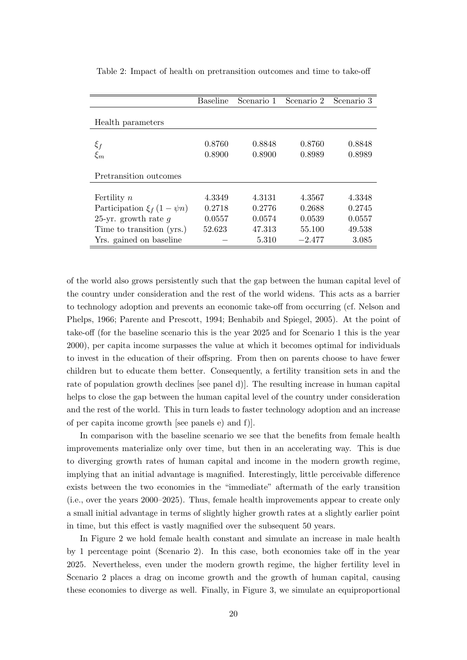|                                                  | <b>Baseline</b>  | Scenario 1       | Scenario 2       | Scenario 3       |
|--------------------------------------------------|------------------|------------------|------------------|------------------|
| Health parameters                                |                  |                  |                  |                  |
| $\xi_f$<br>$\xi_m$                               | 0.8760<br>0.8900 | 0.8848<br>0.8900 | 0.8760<br>0.8989 | 0.8848<br>0.8989 |
| Pretransition outcomes                           |                  |                  |                  |                  |
| Fertility $n$<br>Participation $\xi_f(1-\psi n)$ | 4.3349<br>0.2718 | 4.3131<br>0.2776 | 4.3567<br>0.2688 | 4.3348<br>0.2745 |
| 25-yr. growth rate $q$                           | 0.0557           | 0.0574           | 0.0539           | 0.0557           |
| Time to transition (yrs.)                        | 52.623           | 47.313           | 55.100           | 49.538           |
| Yrs. gained on baseline                          |                  | 5.310            | $-2.477$         | 3.085            |

Table 2: Impact of health on pretransition outcomes and time to take-off

of the world also grows persistently such that the gap between the human capital level of the country under consideration and the rest of the world widens. This acts as a barrier to technology adoption and prevents an economic take-off from occurring (cf. Nelson and Phelps, 1966; Parente and Prescott, 1994; Benhabib and Spiegel, 2005). At the point of take-off (for the baseline scenario this is the year 2025 and for Scenario 1 this is the year 2000), per capita income surpasses the value at which it becomes optimal for individuals to invest in the education of their offspring. From then on parents choose to have fewer children but to educate them better. Consequently, a fertility transition sets in and the rate of population growth declines [see panel d)]. The resulting increase in human capital helps to close the gap between the human capital level of the country under consideration and the rest of the world. This in turn leads to faster technology adoption and an increase of per capita income growth [see panels e) and f)].

In comparison with the baseline scenario we see that the benefits from female health improvements materialize only over time, but then in an accelerating way. This is due to diverging growth rates of human capital and income in the modern growth regime, implying that an initial advantage is magnified. Interestingly, little perceivable difference exists between the two economies in the "immediate" aftermath of the early transition (i.e., over the years 2000–2025). Thus, female health improvements appear to create only a small initial advantage in terms of slightly higher growth rates at a slightly earlier point in time, but this effect is vastly magnified over the subsequent 50 years.

In Figure 2 we hold female health constant and simulate an increase in male health by 1 percentage point (Scenario 2). In this case, both economies take off in the year 2025. Nevertheless, even under the modern growth regime, the higher fertility level in Scenario 2 places a drag on income growth and the growth of human capital, causing these economies to diverge as well. Finally, in Figure 3, we simulate an equiproportional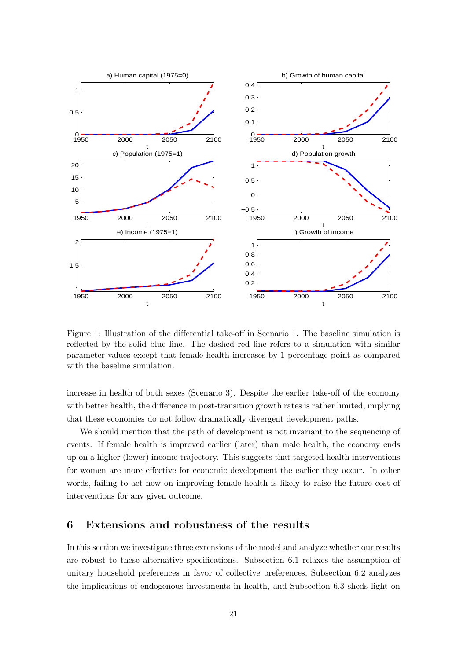

Figure 1: Illustration of the differential take-off in Scenario 1. The baseline simulation is reflected by the solid blue line. The dashed red line refers to a simulation with similar parameter values except that female health increases by 1 percentage point as compared with the baseline simulation.

increase in health of both sexes (Scenario 3). Despite the earlier take-off of the economy with better health, the difference in post-transition growth rates is rather limited, implying that these economies do not follow dramatically divergent development paths.

We should mention that the path of development is not invariant to the sequencing of events. If female health is improved earlier (later) than male health, the economy ends up on a higher (lower) income trajectory. This suggests that targeted health interventions for women are more effective for economic development the earlier they occur. In other words, failing to act now on improving female health is likely to raise the future cost of interventions for any given outcome.

## 6 Extensions and robustness of the results

In this section we investigate three extensions of the model and analyze whether our results are robust to these alternative specifications. Subsection 6.1 relaxes the assumption of unitary household preferences in favor of collective preferences, Subsection 6.2 analyzes the implications of endogenous investments in health, and Subsection 6.3 sheds light on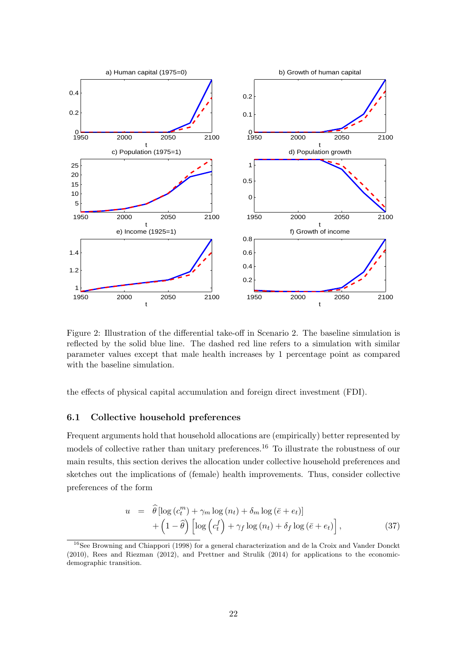

Figure 2: Illustration of the differential take-off in Scenario 2. The baseline simulation is reflected by the solid blue line. The dashed red line refers to a simulation with similar parameter values except that male health increases by 1 percentage point as compared with the baseline simulation.

the effects of physical capital accumulation and foreign direct investment (FDI).

#### 6.1 Collective household preferences

Frequent arguments hold that household allocations are (empirically) better represented by models of collective rather than unitary preferences.<sup>16</sup> To illustrate the robustness of our main results, this section derives the allocation under collective household preferences and sketches out the implications of (female) health improvements. Thus, consider collective preferences of the form

$$
u = \hat{\theta} \left[ \log \left( c_t^m \right) + \gamma_m \log \left( n_t \right) + \delta_m \log \left( \bar{e} + e_t \right) \right] + \left( 1 - \hat{\theta} \right) \left[ \log \left( c_t^f \right) + \gamma_f \log \left( n_t \right) + \delta_f \log \left( \bar{e} + e_t \right) \right], \tag{37}
$$

<sup>&</sup>lt;sup>16</sup>See Browning and Chiappori (1998) for a general characterization and de la Croix and Vander Donckt (2010), Rees and Riezman (2012), and Prettner and Strulik (2014) for applications to the economicdemographic transition.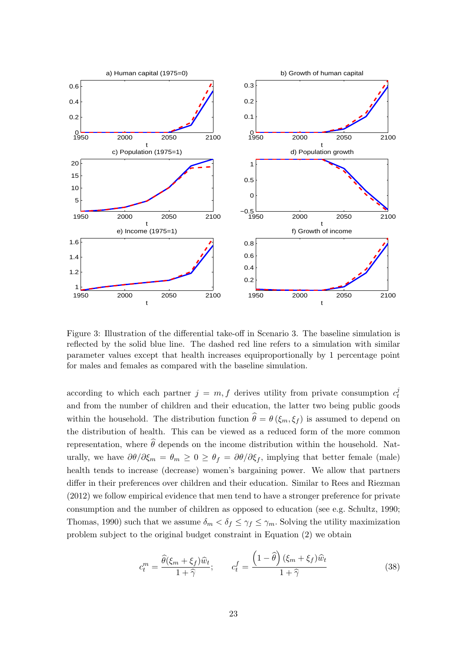

Figure 3: Illustration of the differential take-off in Scenario 3. The baseline simulation is reflected by the solid blue line. The dashed red line refers to a simulation with similar parameter values except that health increases equiproportionally by 1 percentage point for males and females as compared with the baseline simulation.

according to which each partner  $j = m, f$  derives utility from private consumption  $c_t^j$ t and from the number of children and their education, the latter two being public goods within the household. The distribution function  $\hat{\theta} = \theta (\xi_m, \xi_f)$  is assumed to depend on the distribution of health. This can be viewed as a reduced form of the more common representation, where  $\widehat{\theta}$  depends on the income distribution within the household. Naturally, we have  $\partial\theta/\partial\xi_m = \theta_m \geq 0 \geq \theta_f = \partial\theta/\partial\xi_f$ , implying that better female (male) health tends to increase (decrease) women's bargaining power. We allow that partners differ in their preferences over children and their education. Similar to Rees and Riezman (2012) we follow empirical evidence that men tend to have a stronger preference for private consumption and the number of children as opposed to education (see e.g. Schultz, 1990; Thomas, 1990) such that we assume  $\delta_m < \delta_f \leq \gamma_f \leq \gamma_m$ . Solving the utility maximization problem subject to the original budget constraint in Equation (2) we obtain

$$
c_t^m = \frac{\widehat{\theta}(\xi_m + \xi_f)\widehat{w}_t}{1 + \widehat{\gamma}}; \qquad c_t^f = \frac{\left(1 - \widehat{\theta}\right)(\xi_m + \xi_f)\widehat{w}_t}{1 + \widehat{\gamma}}
$$
(38)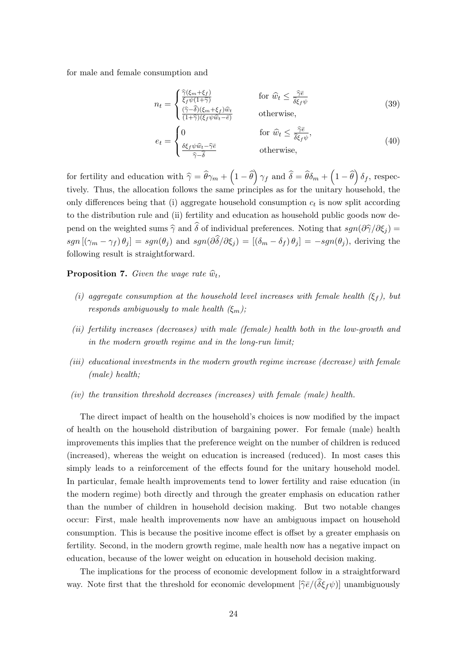for male and female consumption and

$$
n_{t} = \begin{cases} \frac{\hat{\gamma}(\xi_{m} + \xi_{f})}{\xi_{f}\psi(1+\hat{\gamma})} & \text{for } \hat{w}_{t} \leq \frac{\hat{\gamma}\bar{e}}{\hat{\delta}\xi_{f}\psi} \\ \frac{(\hat{\gamma} - \hat{\delta})(\xi_{m} + \xi_{f})\hat{w}_{t}}{(1+\hat{\gamma})(\xi_{f}\psi\hat{w}_{t} - \bar{e})} & \text{otherwise,} \end{cases}
$$
(39)  

$$
e_{t} = \begin{cases} 0 & \text{for } \hat{w}_{t} \leq \frac{\hat{\gamma}\bar{e}}{\hat{\delta}\xi_{f}\psi}, \\ \frac{\delta\xi_{f}\psi\hat{w}_{t} - \hat{\gamma}\bar{e}}{\hat{\gamma} - \hat{\delta}} & \text{otherwise,} \end{cases}
$$
(40)

for fertility and education with  $\hat{\gamma} = \hat{\theta}\gamma_m + \left(1 - \hat{\theta}\right)\gamma_f$  and  $\hat{\delta} = \hat{\theta}\delta_m + \left(1 - \hat{\theta}\right)\delta_f$ , respectively. Thus, the allocation follows the same principles as for the unitary household, the only differences being that (i) aggregate household consumption  $c_t$  is now split according to the distribution rule and (ii) fertility and education as household public goods now depend on the weighted sums  $\hat{\gamma}$  and  $\hat{\delta}$  of individual preferences. Noting that  $sgn(\partial \hat{\gamma}/\partial \xi_i ) =$  $sgn\left[\left(\gamma_m-\gamma_f\right)\theta_j\right]=sgn(\theta_j)$  and  $sgn(\partial\hat{\delta}/\partial\xi_j)=[\left(\delta_m-\delta_f\right)\theta_j]= -sgn(\theta_j)$ , deriving the following result is straightforward.

**Proposition 7.** Given the wage rate  $\widehat{w}_t$ ,

- (i) aggregate consumption at the household level increases with female health  $(\xi_f)$ , but responds ambiguously to male health  $(\xi_m)$ ;
- (ii) fertility increases (decreases) with male (female) health both in the low-growth and in the modern growth regime and in the long-run limit;
- (iii) educational investments in the modern growth regime increase (decrease) with female (male) health;
- (iv) the transition threshold decreases (increases) with female (male) health.

The direct impact of health on the household's choices is now modified by the impact of health on the household distribution of bargaining power. For female (male) health improvements this implies that the preference weight on the number of children is reduced (increased), whereas the weight on education is increased (reduced). In most cases this simply leads to a reinforcement of the effects found for the unitary household model. In particular, female health improvements tend to lower fertility and raise education (in the modern regime) both directly and through the greater emphasis on education rather than the number of children in household decision making. But two notable changes occur: First, male health improvements now have an ambiguous impact on household consumption. This is because the positive income effect is offset by a greater emphasis on fertility. Second, in the modern growth regime, male health now has a negative impact on education, because of the lower weight on education in household decision making.

The implications for the process of economic development follow in a straightforward way. Note first that the threshold for economic development  $[\hat{\gamma} \bar{e}/(\delta \xi_f \psi)]$  unambiguously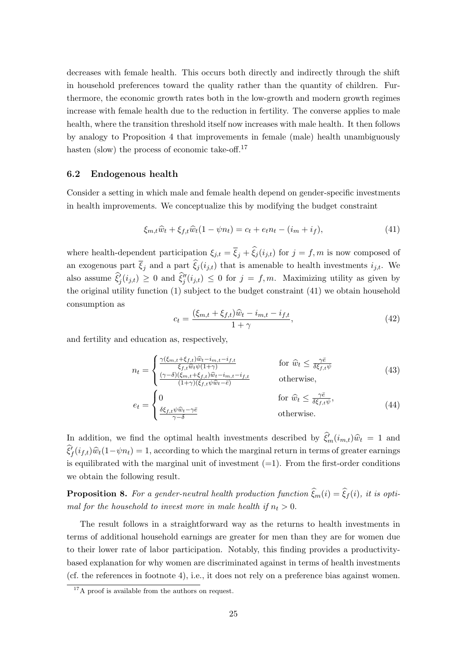decreases with female health. This occurs both directly and indirectly through the shift in household preferences toward the quality rather than the quantity of children. Furthermore, the economic growth rates both in the low-growth and modern growth regimes increase with female health due to the reduction in fertility. The converse applies to male health, where the transition threshold itself now increases with male health. It then follows by analogy to Proposition 4 that improvements in female (male) health unambiguously hasten (slow) the process of economic take-off.<sup>17</sup>

#### 6.2 Endogenous health

Consider a setting in which male and female health depend on gender-specific investments in health improvements. We conceptualize this by modifying the budget constraint

$$
\xi_{m,t}\widehat{w}_t + \xi_{f,t}\widehat{w}_t(1 - \psi n_t) = c_t + e_t n_t - (i_m + i_f),\tag{41}
$$

where health-dependent participation  $\xi_{j,t} = \overline{\xi}_j + \widehat{\xi}_j (i_{j,t})$  for  $j = f, m$  is now composed of an exogenous part  $\overline{\xi}_j$  and a part  $\widehat{\xi}_j (i_{j,t})$  that is amenable to health investments  $i_{j,t}$ . We also assume  $\hat{\xi}_j^j(i_{j,t}) \geq 0$  and  $\hat{\xi}_j^{\prime\prime}(i_{j,t}) \leq 0$  for  $j = f, m$ . Maximizing utility as given by the original utility function (1) subject to the budget constraint (41) we obtain household consumption as

$$
c_{t} = \frac{(\xi_{m,t} + \xi_{f,t})\hat{w}_{t} - i_{m,t} - i_{f,t}}{1 + \gamma},
$$
\n(42)

and fertility and education as, respectively,

$$
n_{t} = \begin{cases} \frac{\gamma(\xi_{m,t} + \xi_{f,t})\hat{w}_{t} - i_{m,t} - i_{f,t}}{\xi_{f,t}\hat{w}_{t}\psi(1+\gamma)} & \text{for } \hat{w}_{t} \leq \frac{\gamma\bar{e}}{\delta\xi_{f,t}\psi} \\ \frac{(\gamma-\delta)(\xi_{m,t} + \xi_{f,t})\hat{w}_{t} - i_{m,t} - i_{f,t}}{(1+\gamma)(\xi_{f,t}\psi\hat{w}_{t} - \bar{e})} & \text{otherwise,} \end{cases}
$$
\n
$$
e_{t} = \begin{cases} 0 & \text{for } \hat{w}_{t} \leq \frac{\gamma\bar{e}}{\delta\xi_{f,t}\psi}, \\ \frac{\delta\xi_{f,t}\psi\hat{w}_{t} - \gamma\bar{e}}{\gamma-\delta} & \text{otherwise.} \end{cases}
$$
\n(44)

In addition, we find the optimal health investments described by  $\hat{\xi}_m^0(i_{m,t})\hat{w}_t = 1$  and  $\hat{\xi}_f^f(i_{f,t})\hat{w}_t(1-\psi n_t) = 1$ , according to which the marginal return in terms of greater earnings is equilibrated with the marginal unit of investment  $(=1)$ . From the first-order conditions we obtain the following result.

**Proposition 8.** For a gender-neutral health production function  $\xi_m(i) = \xi_f(i)$ , it is optimal for the household to invest more in male health if  $n_t > 0$ .

The result follows in a straightforward way as the returns to health investments in terms of additional household earnings are greater for men than they are for women due to their lower rate of labor participation. Notably, this finding provides a productivitybased explanation for why women are discriminated against in terms of health investments (cf. the references in footnote 4), i.e., it does not rely on a preference bias against women.

<sup>&</sup>lt;sup>17</sup>A proof is available from the authors on request.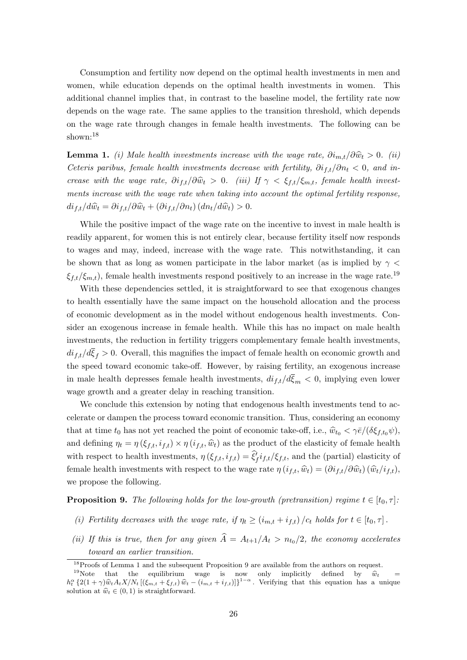Consumption and fertility now depend on the optimal health investments in men and women, while education depends on the optimal health investments in women. This additional channel implies that, in contrast to the baseline model, the fertility rate now depends on the wage rate. The same applies to the transition threshold, which depends on the wage rate through changes in female health investments. The following can be shown:<sup>18</sup>

**Lemma 1.** (i) Male health investments increase with the wage rate,  $\partial i_{m,t}/\partial \hat{w}_t > 0$ . (ii) Ceteris paribus, female health investments decrease with fertility,  $\partial i_{f,t}/\partial n_t < 0$ , and increase with the wage rate,  $\partial i_{f,t}/\partial \hat{w}_t > 0$ . (iii) If  $\gamma < \xi_{f,t}/\xi_{m,t}$ , female health investments increase with the wage rate when taking into account the optimal fertility response,  $di_{f,t}/d\widehat{w}_t = \partial i_{f,t}/\partial \widehat{w}_t + (\partial i_{f,t}/\partial n_t) (dn_t/d\widehat{w}_t) > 0.$ 

While the positive impact of the wage rate on the incentive to invest in male health is readily apparent, for women this is not entirely clear, because fertility itself now responds to wages and may, indeed, increase with the wage rate. This notwithstanding, it can be shown that as long as women participate in the labor market (as is implied by  $\gamma$  $\xi_{f,t}/\xi_{m,t}$ , female health investments respond positively to an increase in the wage rate.<sup>19</sup>

With these dependencies settled, it is straightforward to see that exogenous changes to health essentially have the same impact on the household allocation and the process of economic development as in the model without endogenous health investments. Consider an exogenous increase in female health. While this has no impact on male health investments, the reduction in fertility triggers complementary female health investments,  $di_{f,t}/d\overline{\xi}_f > 0$ . Overall, this magnifies the impact of female health on economic growth and the speed toward economic take-off. However, by raising fertility, an exogenous increase in male health depresses female health investments,  $di_{f,t}/d\overline{\xi}_m < 0$ , implying even lower wage growth and a greater delay in reaching transition.

We conclude this extension by noting that endogenous health investments tend to accelerate or dampen the process toward economic transition. Thus, considering an economy that at time  $t_0$  has not yet reached the point of economic take-off, i.e.,  $\hat{w}_{t_0} < \gamma \bar{e}/(\delta \xi_{f,t_0}\psi)$ , and defining  $\eta_t = \eta(\xi_{f,t}, i_{f,t}) \times \eta(i_{f,t}, \hat{w}_t)$  as the product of the elasticity of female health with respect to health investments,  $\eta(\xi_{f,t}, i_{f,t}) = \hat{\xi}_f^j i_{f,t}/\xi_{f,t}$ , and the (partial) elasticity of female health investments with respect to the wage rate  $\eta(i_{f,t}, \hat{w}_t) = (\partial i_{f,t}/\partial \hat{w}_t)(\hat{w}_t/i_{f,t}),$ we propose the following.

**Proposition 9.** The following holds for the low-growth (pretransition) regime  $t \in [t_0, \tau]$ :

- (i) Fertility decreases with the wage rate, if  $\eta_t \geq (i_{m,t} + i_{f,t})/c_t$  holds for  $t \in [t_0, \tau]$ .
- (ii) If this is true, then for any given  $A = A_{t+1}/A_t > n_{t_0}/2$ , the economy accelerates toward an earlier transition.

<sup>&</sup>lt;sup>18</sup>Proofs of Lemma 1 and the subsequent Proposition 9 are available from the authors on request.

<sup>&</sup>lt;sup>19</sup>Note that the equilibrium wage is now only implicitly defined by  $\hat{w}_t = h_t^{\alpha} \{2(1+\gamma)\hat{w}_t A_t X/N_t \left[ (\xi_{m,t} + \xi_{f,t}) \hat{w}_t - (i_{m,t} + i_{f,t}) \right] \}^{1-\alpha}$ . Verifying that this equation has a unique solution of  $\hat{w}_t \in (0, 1)$  i solution at  $\hat{w}_t \in (0, 1)$  is straightforward.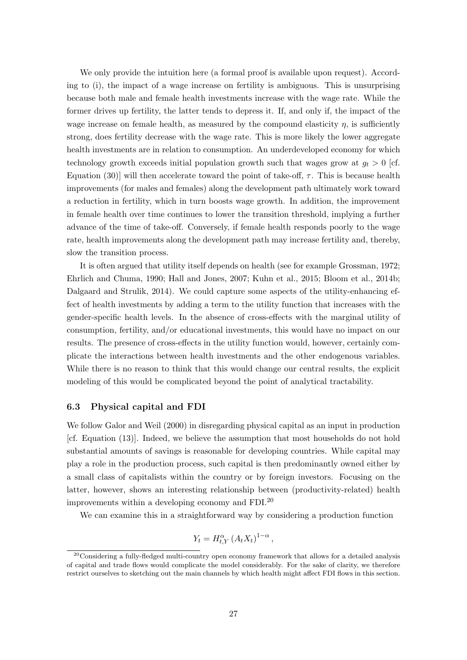We only provide the intuition here (a formal proof is available upon request). According to (i), the impact of a wage increase on fertility is ambiguous. This is unsurprising because both male and female health investments increase with the wage rate. While the former drives up fertility, the latter tends to depress it. If, and only if, the impact of the wage increase on female health, as measured by the compound elasticity  $\eta$ , is sufficiently strong, does fertility decrease with the wage rate. This is more likely the lower aggregate health investments are in relation to consumption. An underdeveloped economy for which technology growth exceeds initial population growth such that wages grow at  $g_t > 0$  [cf. Equation (30)] will then accelerate toward the point of take-off,  $\tau$ . This is because health improvements (for males and females) along the development path ultimately work toward a reduction in fertility, which in turn boosts wage growth. In addition, the improvement in female health over time continues to lower the transition threshold, implying a further advance of the time of take-off. Conversely, if female health responds poorly to the wage rate, health improvements along the development path may increase fertility and, thereby, slow the transition process.

It is often argued that utility itself depends on health (see for example Grossman, 1972; Ehrlich and Chuma, 1990; Hall and Jones, 2007; Kuhn et al., 2015; Bloom et al., 2014b; Dalgaard and Strulik, 2014). We could capture some aspects of the utility-enhancing effect of health investments by adding a term to the utility function that increases with the gender-specific health levels. In the absence of cross-effects with the marginal utility of consumption, fertility, and/or educational investments, this would have no impact on our results. The presence of cross-effects in the utility function would, however, certainly complicate the interactions between health investments and the other endogenous variables. While there is no reason to think that this would change our central results, the explicit modeling of this would be complicated beyond the point of analytical tractability.

#### 6.3 Physical capital and FDI

We follow Galor and Weil (2000) in disregarding physical capital as an input in production [cf. Equation (13)]. Indeed, we believe the assumption that most households do not hold substantial amounts of savings is reasonable for developing countries. While capital may play a role in the production process, such capital is then predominantly owned either by a small class of capitalists within the country or by foreign investors. Focusing on the latter, however, shows an interesting relationship between (productivity-related) health improvements within a developing economy and FDI.<sup>20</sup>

We can examine this in a straightforward way by considering a production function

$$
Y_t = H_{t,Y}^{\alpha} (A_t X_t)^{1-\alpha},
$$

 $20$ Considering a fully-fledged multi-country open economy framework that allows for a detailed analysis of capital and trade flows would complicate the model considerably. For the sake of clarity, we therefore restrict ourselves to sketching out the main channels by which health might affect FDI flows in this section.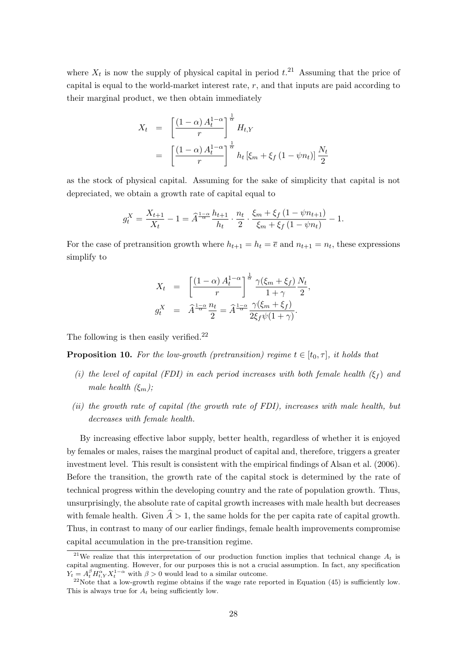where  $X_t$  is now the supply of physical capital in period  $t^{21}$ . Assuming that the price of capital is equal to the world-market interest rate,  $r$ , and that inputs are paid according to their marginal product, we then obtain immediately

$$
X_t = \left[\frac{(1-\alpha) A_t^{1-\alpha}}{r}\right]^{\frac{1}{\alpha}} H_{t,Y}
$$
  
= 
$$
\left[\frac{(1-\alpha) A_t^{1-\alpha}}{r}\right]^{\frac{1}{\alpha}} h_t \left[\xi_m + \xi_f (1-\psi n_t)\right] \frac{N_t}{2}
$$

as the stock of physical capital. Assuming for the sake of simplicity that capital is not depreciated, we obtain a growth rate of capital equal to

$$
g_t^X = \frac{X_{t+1}}{X_t} - 1 = \hat{A}^{\frac{1-\alpha}{\alpha}} \frac{h_{t+1}}{h_t} \cdot \frac{n_t}{2} \cdot \frac{\xi_m + \xi_f (1 - \psi n_{t+1})}{\xi_m + \xi_f (1 - \psi n_t)} - 1.
$$

For the case of pretransition growth where  $h_{t+1} = h_t = \overline{e}$  and  $n_{t+1} = n_t$ , these expressions simplify to

$$
X_t = \left[\frac{(1-\alpha) A_t^{1-\alpha}}{r}\right]^{\frac{1}{\alpha}} \frac{\gamma(\xi_m + \xi_f)}{1+\gamma} \frac{N_t}{2},
$$
  

$$
g_t^X = \hat{A}^{\frac{1-\alpha}{\alpha}} \frac{n_t}{2} = \hat{A}^{\frac{1-\alpha}{\alpha}} \frac{\gamma(\xi_m + \xi_f)}{2\xi_f \psi(1+\gamma)}.
$$

The following is then easily verified.<sup>22</sup>

**Proposition 10.** For the low-growth (pretransition) regime  $t \in [t_0, \tau]$ , it holds that

- (i) the level of capital (FDI) in each period increases with both female health  $(\xi_f)$  and male health  $(\xi_m)$ ;
- (ii) the growth rate of capital (the growth rate of FDI), increases with male health, but decreases with female health.

By increasing effective labor supply, better health, regardless of whether it is enjoyed by females or males, raises the marginal product of capital and, therefore, triggers a greater investment level. This result is consistent with the empirical findings of Alsan et al. (2006). Before the transition, the growth rate of the capital stock is determined by the rate of technical progress within the developing country and the rate of population growth. Thus, unsurprisingly, the absolute rate of capital growth increases with male health but decreases with female health. Given  $\hat{A} > 1$ , the same holds for the per capita rate of capital growth. Thus, in contrast to many of our earlier findings, female health improvements compromise capital accumulation in the pre-transition regime.

<sup>&</sup>lt;sup>21</sup>We realize that this interpretation of our production function implies that technical change  $A_t$  is capital augmenting. However, for our purposes this is not a crucial assumption. In fact, any specification  $Y_t = A_t^{\beta} H_{t, Y}^{\alpha} X_t^{1-\alpha}$  with  $\beta > 0$  would lead to a similar outcome.

<sup>&</sup>lt;sup>22</sup>Note that a low-growth regime obtains if the wage rate reported in Equation (45) is sufficiently low. This is always true for  $A_t$  being sufficiently low.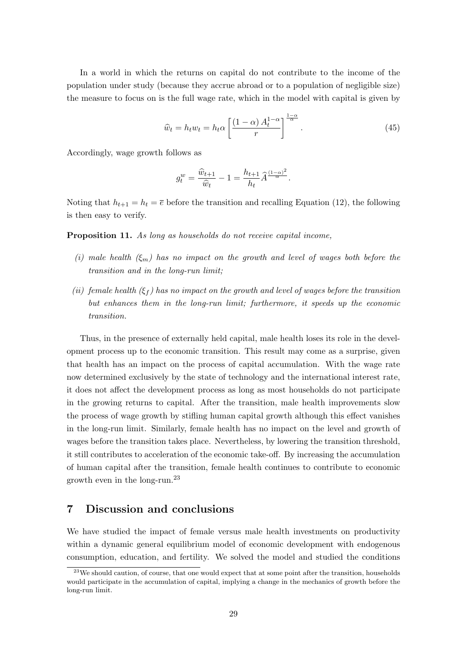In a world in which the returns on capital do not contribute to the income of the population under study (because they accrue abroad or to a population of negligible size) the measure to focus on is the full wage rate, which in the model with capital is given by

$$
\widehat{w}_t = h_t w_t = h_t \alpha \left[ \frac{(1 - \alpha) A_t^{1 - \alpha}}{r} \right]^{\frac{1 - \alpha}{\alpha}}.
$$
\n(45)

Accordingly, wage growth follows as

$$
g_t^w = \frac{\widehat{w}_{t+1}}{\widehat{w}_t} - 1 = \frac{h_{t+1}}{h_t} \widehat{A}^{\frac{(1-\alpha)^2}{\alpha}}.
$$

Noting that  $h_{t+1} = h_t = \overline{e}$  before the transition and recalling Equation (12), the following is then easy to verify.

Proposition 11. As long as households do not receive capital income,

- (i) male health  $(\xi_m)$  has no impact on the growth and level of wages both before the transition and in the long-run limit;
- (ii) female health  $(\xi_f)$  has no impact on the growth and level of wages before the transition but enhances them in the long-run limit; furthermore, it speeds up the economic transition.

Thus, in the presence of externally held capital, male health loses its role in the development process up to the economic transition. This result may come as a surprise, given that health has an impact on the process of capital accumulation. With the wage rate now determined exclusively by the state of technology and the international interest rate, it does not affect the development process as long as most households do not participate in the growing returns to capital. After the transition, male health improvements slow the process of wage growth by stifling human capital growth although this effect vanishes in the long-run limit. Similarly, female health has no impact on the level and growth of wages before the transition takes place. Nevertheless, by lowering the transition threshold, it still contributes to acceleration of the economic take-off. By increasing the accumulation of human capital after the transition, female health continues to contribute to economic growth even in the long-run.<sup>23</sup>

## 7 Discussion and conclusions

We have studied the impact of female versus male health investments on productivity within a dynamic general equilibrium model of economic development with endogenous consumption, education, and fertility. We solved the model and studied the conditions

<sup>&</sup>lt;sup>23</sup>We should caution, of course, that one would expect that at some point after the transition, households would participate in the accumulation of capital, implying a change in the mechanics of growth before the long-run limit.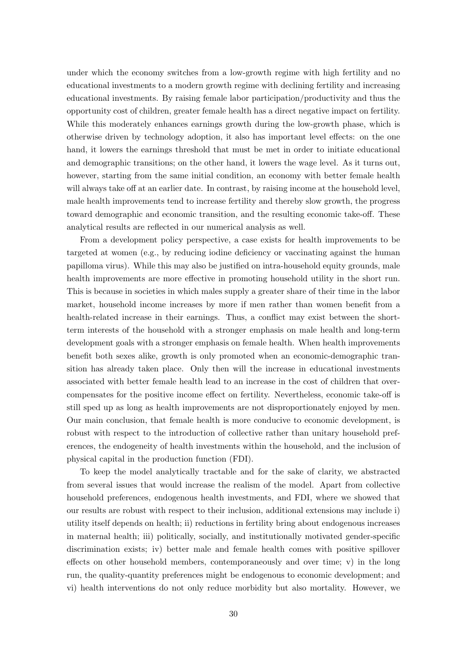under which the economy switches from a low-growth regime with high fertility and no educational investments to a modern growth regime with declining fertility and increasing educational investments. By raising female labor participation/productivity and thus the opportunity cost of children, greater female health has a direct negative impact on fertility. While this moderately enhances earnings growth during the low-growth phase, which is otherwise driven by technology adoption, it also has important level effects: on the one hand, it lowers the earnings threshold that must be met in order to initiate educational and demographic transitions; on the other hand, it lowers the wage level. As it turns out, however, starting from the same initial condition, an economy with better female health will always take off at an earlier date. In contrast, by raising income at the household level, male health improvements tend to increase fertility and thereby slow growth, the progress toward demographic and economic transition, and the resulting economic take-off. These analytical results are reflected in our numerical analysis as well.

From a development policy perspective, a case exists for health improvements to be targeted at women (e.g., by reducing iodine deficiency or vaccinating against the human papilloma virus). While this may also be justified on intra-household equity grounds, male health improvements are more effective in promoting household utility in the short run. This is because in societies in which males supply a greater share of their time in the labor market, household income increases by more if men rather than women benefit from a health-related increase in their earnings. Thus, a conflict may exist between the shortterm interests of the household with a stronger emphasis on male health and long-term development goals with a stronger emphasis on female health. When health improvements benefit both sexes alike, growth is only promoted when an economic-demographic transition has already taken place. Only then will the increase in educational investments associated with better female health lead to an increase in the cost of children that overcompensates for the positive income effect on fertility. Nevertheless, economic take-off is still sped up as long as health improvements are not disproportionately enjoyed by men. Our main conclusion, that female health is more conducive to economic development, is robust with respect to the introduction of collective rather than unitary household preferences, the endogeneity of health investments within the household, and the inclusion of physical capital in the production function (FDI).

To keep the model analytically tractable and for the sake of clarity, we abstracted from several issues that would increase the realism of the model. Apart from collective household preferences, endogenous health investments, and FDI, where we showed that our results are robust with respect to their inclusion, additional extensions may include i) utility itself depends on health; ii) reductions in fertility bring about endogenous increases in maternal health; iii) politically, socially, and institutionally motivated gender-specific discrimination exists; iv) better male and female health comes with positive spillover effects on other household members, contemporaneously and over time; v) in the long run, the quality-quantity preferences might be endogenous to economic development; and vi) health interventions do not only reduce morbidity but also mortality. However, we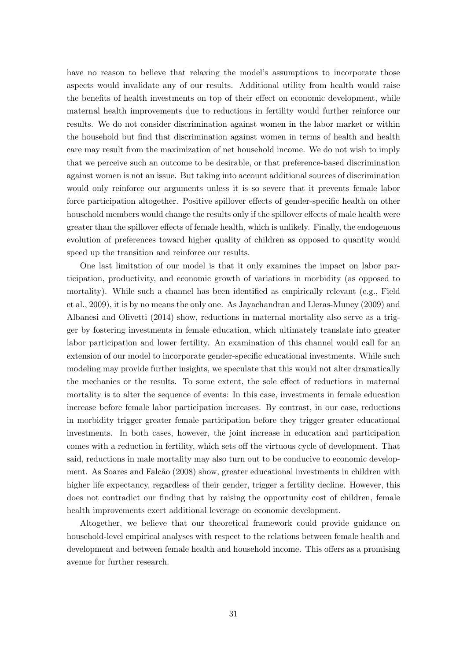have no reason to believe that relaxing the model's assumptions to incorporate those aspects would invalidate any of our results. Additional utility from health would raise the benefits of health investments on top of their effect on economic development, while maternal health improvements due to reductions in fertility would further reinforce our results. We do not consider discrimination against women in the labor market or within the household but find that discrimination against women in terms of health and health care may result from the maximization of net household income. We do not wish to imply that we perceive such an outcome to be desirable, or that preference-based discrimination against women is not an issue. But taking into account additional sources of discrimination would only reinforce our arguments unless it is so severe that it prevents female labor force participation altogether. Positive spillover effects of gender-specific health on other household members would change the results only if the spillover effects of male health were greater than the spillover effects of female health, which is unlikely. Finally, the endogenous evolution of preferences toward higher quality of children as opposed to quantity would speed up the transition and reinforce our results.

One last limitation of our model is that it only examines the impact on labor participation, productivity, and economic growth of variations in morbidity (as opposed to mortality). While such a channel has been identified as empirically relevant (e.g., Field et al., 2009), it is by no means the only one. As Jayachandran and Lleras-Muney (2009) and Albanesi and Olivetti (2014) show, reductions in maternal mortality also serve as a trigger by fostering investments in female education, which ultimately translate into greater labor participation and lower fertility. An examination of this channel would call for an extension of our model to incorporate gender-specific educational investments. While such modeling may provide further insights, we speculate that this would not alter dramatically the mechanics or the results. To some extent, the sole effect of reductions in maternal mortality is to alter the sequence of events: In this case, investments in female education increase before female labor participation increases. By contrast, in our case, reductions in morbidity trigger greater female participation before they trigger greater educational investments. In both cases, however, the joint increase in education and participation comes with a reduction in fertility, which sets off the virtuous cycle of development. That said, reductions in male mortality may also turn out to be conducive to economic development. As Soares and Falcão (2008) show, greater educational investments in children with higher life expectancy, regardless of their gender, trigger a fertility decline. However, this does not contradict our finding that by raising the opportunity cost of children, female health improvements exert additional leverage on economic development.

Altogether, we believe that our theoretical framework could provide guidance on household-level empirical analyses with respect to the relations between female health and development and between female health and household income. This offers as a promising avenue for further research.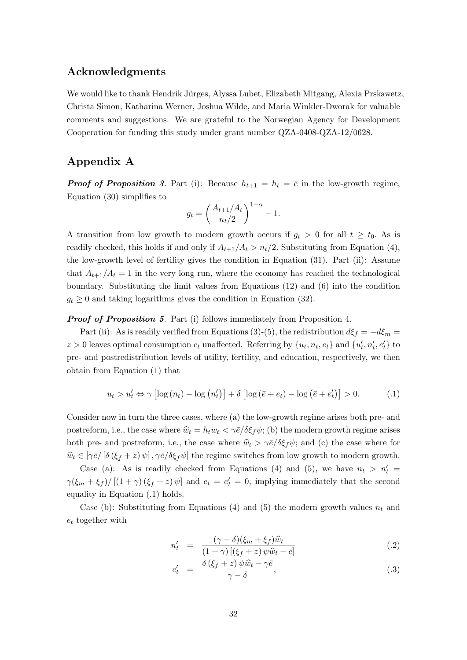## Acknowledgments

We would like to thank Hendrik Jürges, Alyssa Lubet, Elizabeth Mitgang, Alexia Prskawetz, Christa Simon, Katharina Werner, Joshua Wilde, and Maria Winkler-Dworak for valuable comments and suggestions. We are grateful to the Norwegian Agency for Development Cooperation for funding this study under grant number QZA-0408-QZA-12/0628.

## Appendix A

**Proof of Proposition 3.** Part (i): Because  $h_{t+1} = h_t = \overline{e}$  in the low-growth regime, Equation (30) simplifies to

$$
g_t = \left(\frac{A_{t+1}/A_t}{n_t/2}\right)^{1-\alpha} - 1.
$$

A transition from low growth to modern growth occurs if  $g_t > 0$  for all  $t \ge t_0$ . As is readily checked, this holds if and only if  $A_{t+1}/A_t > n_t/2$ . Substituting from Equation (4), the low-growth level of fertility gives the condition in Equation (31). Part (ii): Assume that  $A_{t+1}/A_t = 1$  in the very long run, where the economy has reached the technological boundary. Substituting the limit values from Equations (12) and (6) into the condition  $g_t \geq 0$  and taking logarithms gives the condition in Equation (32).

**Proof of Proposition 5.** Part (i) follows immediately from Proposition 4.

Part (ii): As is readily verified from Equations (3)-(5), the redistribution  $d\xi_f = -d\xi_m =$  $z > 0$  leaves optimal consumption  $c_t$  unaffected. Referring by  $\{u_t, n_t, e_t\}$  and  $\{u'_t, n'_t, e'_t\}$  to pre- and postredistribution levels of utility, fertility, and education, respectively, we then obtain from Equation (1) that

$$
u_t > u'_t \Leftrightarrow \gamma \left[ \log \left( n_t \right) - \log \left( n'_t \right) \right] + \delta \left[ \log \left( \bar{e} + e_t \right) - \log \left( \bar{e} + e'_t \right) \right] > 0. \tag{1}
$$

Consider now in turn the three cases, where (a) the low-growth regime arises both pre- and postreform, i.e., the case where  $\hat{w}_t = h_t w_t < \gamma \bar{e}/\delta \xi_f \psi$ ; (b) the modern growth regime arises both pre- and postreform, i.e., the case where  $\hat{w}_t > \gamma \bar{e}/\delta \xi_f \psi$ ; and (c) the case where for  $\hat{w}_t \in [\gamma \bar{e}/[\delta(\xi_f + z)\psi], \gamma \bar{e}/\delta \xi_f \psi]$  the regime switches from low growth to modern growth.

Case (a): As is readily checked from Equations (4) and (5), we have  $n_t > n'_t =$  $\gamma(\xi_m + \xi_f) / [(1 + \gamma)(\xi_f + z)\psi]$  and  $e_t = e'_t = 0$ , implying immediately that the second equality in Equation (.1) holds.

Case (b): Substituting from Equations (4) and (5) the modern growth values  $n_t$  and  $e_t$  together with

$$
n'_t = \frac{(\gamma - \delta)(\xi_m + \xi_f)\widehat{w}_t}{(1 + \gamma) \left[ (\xi_f + z) \psi \widehat{w}_t - \bar{e} \right]}
$$
(.2)

$$
e'_t = \frac{\delta(\xi_f + z)\psi \hat{w}_t - \gamma \bar{e}}{\gamma - \delta}, \tag{3}
$$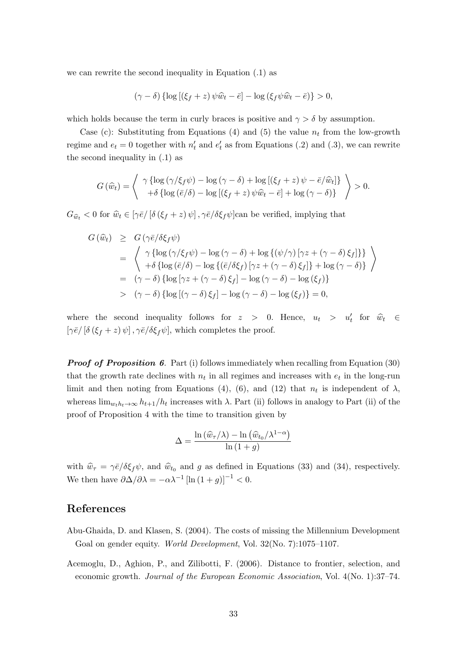we can rewrite the second inequality in Equation (.1) as

$$
(\gamma - \delta) \left\{ \log \left[ \left( \xi_f + z \right) \psi \widehat{w}_t - \overline{e} \right] - \log \left( \xi_f \psi \widehat{w}_t - \overline{e} \right) \right\} > 0,
$$

which holds because the term in curly braces is positive and  $\gamma > \delta$  by assumption.

Case (c): Substituting from Equations (4) and (5) the value  $n_t$  from the low-growth regime and  $e_t = 0$  together with  $n'_t$  and  $e'_t$  as from Equations (.2) and (.3), we can rewrite the second inequality in (.1) as

$$
G(\widehat{w}_t) = \left\langle \begin{array}{c} \gamma \left\{ \log \left( \gamma/\xi_f \psi \right) - \log \left( \gamma - \delta \right) + \log \left[ \left( \xi_f + z \right) \psi - \bar{e}/\widehat{w}_t \right] \right\} \\ + \delta \left\{ \log \left( \bar{e}/\delta \right) - \log \left[ \left( \xi_f + z \right) \psi \widehat{w}_t - \bar{e} \right] + \log \left( \gamma - \delta \right) \right\} \end{array} \right\rangle > 0.
$$

 $G_{\hat{w}_t} < 0$  for  $\hat{w}_t \in [\gamma \bar{e}/[\delta(\xi_f + z)\psi], \gamma \bar{e}/\delta \xi_f \psi]$ can be verified, implying that

$$
G(\widehat{w}_t) \geq G(\gamma \overline{e}/\delta \xi_f \psi)
$$
  
= 
$$
\begin{array}{l} \gamma \{ \log(\gamma/\xi_f \psi) - \log(\gamma - \delta) + \log\{(\psi/\gamma) [\gamma z + (\gamma - \delta) \xi_f] \} \} \\ + \delta \{ \log(\overline{e}/\delta) - \log\{(\overline{e}/\delta \xi_f) [\gamma z + (\gamma - \delta) \xi_f] \} + \log(\gamma - \delta) \} \end{array}
$$
  
= 
$$
(\gamma - \delta) \{ \log[\gamma z + (\gamma - \delta) \xi_f] - \log(\gamma - \delta) - \log(\xi_f) \}
$$
  
> 
$$
(\gamma - \delta) \{ \log[(\gamma - \delta) \xi_f] - \log(\gamma - \delta) - \log(\xi_f) \} = 0,
$$

where the second inequality follows for  $z > 0$ . Hence,  $u_t > u'_t$  for  $\hat{w}_t \in$  $[\gamma \bar{e}/[\delta(\xi_f + z)\psi], \gamma \bar{e}/\delta \xi_f \psi],$  which completes the proof.

**Proof of Proposition 6.** Part (i) follows immediately when recalling from Equation  $(30)$ that the growth rate declines with  $n_t$  in all regimes and increases with  $e_t$  in the long-run limit and then noting from Equations (4), (6), and (12) that  $n_t$  is independent of  $\lambda$ , whereas  $\lim_{w_t h_t \to \infty} h_{t+1}/h_t$  increases with  $\lambda$ . Part (ii) follows in analogy to Part (ii) of the proof of Proposition 4 with the time to transition given by

$$
\Delta = \frac{\ln (\widehat{w}_{\tau}/\lambda) - \ln (\widehat{w}_{t_0}/\lambda^{1-\alpha})}{\ln (1+g)}
$$

with  $\hat{w}_{\tau} = \gamma \bar{e}/\delta \xi_f \psi$ , and  $\hat{w}_{t_0}$  and g as defined in Equations (33) and (34), respectively. We then have  $\partial \Delta / \partial \lambda = -\alpha \lambda^{-1} \left[ \ln (1+g) \right]^{-1} < 0.$ 

## References

- Abu-Ghaida, D. and Klasen, S. (2004). The costs of missing the Millennium Development Goal on gender equity. World Development, Vol. 32(No. 7):1075–1107.
- Acemoglu, D., Aghion, P., and Zilibotti, F. (2006). Distance to frontier, selection, and economic growth. Journal of the European Economic Association, Vol. 4(No. 1):37–74.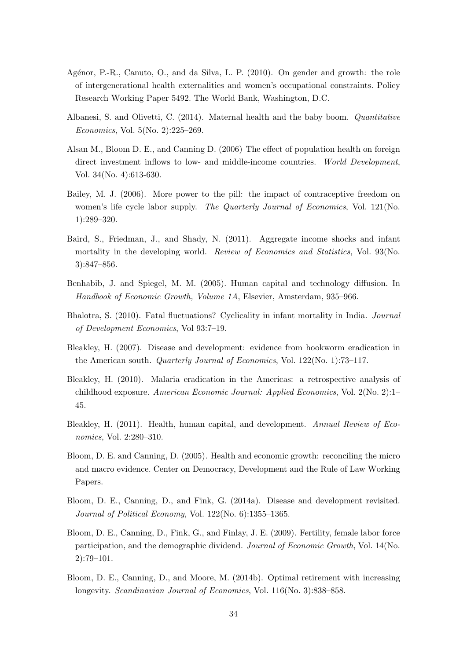- Agénor, P.-R., Canuto, O., and da Silva, L. P. (2010). On gender and growth: the role of intergenerational health externalities and women's occupational constraints. Policy Research Working Paper 5492. The World Bank, Washington, D.C.
- Albanesi, S. and Olivetti, C. (2014). Maternal health and the baby boom. Quantitative Economics, Vol. 5(No. 2):225–269.
- Alsan M., Bloom D. E., and Canning D. (2006) The effect of population health on foreign direct investment inflows to low- and middle-income countries. World Development, Vol. 34(No. 4):613-630.
- Bailey, M. J. (2006). More power to the pill: the impact of contraceptive freedom on women's life cycle labor supply. The Quarterly Journal of Economics, Vol. 121(No. 1):289–320.
- Baird, S., Friedman, J., and Shady, N. (2011). Aggregate income shocks and infant mortality in the developing world. Review of Economics and Statistics, Vol. 93(No. 3):847–856.
- Benhabib, J. and Spiegel, M. M. (2005). Human capital and technology diffusion. In Handbook of Economic Growth, Volume 1A, Elsevier, Amsterdam, 935–966.
- Bhalotra, S. (2010). Fatal fluctuations? Cyclicality in infant mortality in India. Journal of Development Economics, Vol 93:7–19.
- Bleakley, H. (2007). Disease and development: evidence from hookworm eradication in the American south. Quarterly Journal of Economics, Vol. 122(No. 1):73–117.
- Bleakley, H. (2010). Malaria eradication in the Americas: a retrospective analysis of childhood exposure. American Economic Journal: Applied Economics, Vol. 2(No. 2):1– 45.
- Bleakley, H. (2011). Health, human capital, and development. Annual Review of Economics, Vol. 2:280–310.
- Bloom, D. E. and Canning, D. (2005). Health and economic growth: reconciling the micro and macro evidence. Center on Democracy, Development and the Rule of Law Working Papers.
- Bloom, D. E., Canning, D., and Fink, G. (2014a). Disease and development revisited. Journal of Political Economy, Vol. 122(No. 6):1355-1365.
- Bloom, D. E., Canning, D., Fink, G., and Finlay, J. E. (2009). Fertility, female labor force participation, and the demographic dividend. Journal of Economic Growth, Vol. 14(No. 2):79–101.
- Bloom, D. E., Canning, D., and Moore, M. (2014b). Optimal retirement with increasing longevity. Scandinavian Journal of Economics, Vol. 116(No. 3):838–858.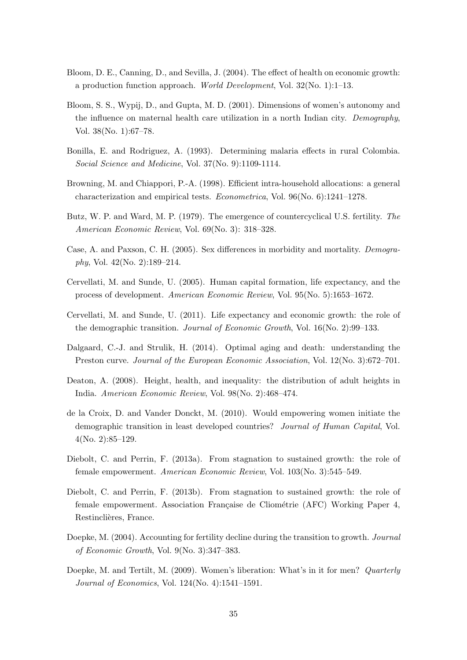- Bloom, D. E., Canning, D., and Sevilla, J. (2004). The effect of health on economic growth: a production function approach. World Development, Vol.  $32$ (No. 1):1–13.
- Bloom, S. S., Wypij, D., and Gupta, M. D. (2001). Dimensions of women's autonomy and the influence on maternal health care utilization in a north Indian city. Demography, Vol. 38(No. 1):67–78.
- Bonilla, E. and Rodriguez, A. (1993). Determining malaria effects in rural Colombia. Social Science and Medicine, Vol. 37(No. 9):1109-1114.
- Browning, M. and Chiappori, P.-A. (1998). Efficient intra-household allocations: a general characterization and empirical tests. Econometrica, Vol. 96(No. 6):1241–1278.
- Butz, W. P. and Ward, M. P. (1979). The emergence of countercyclical U.S. fertility. The American Economic Review, Vol. 69(No. 3): 318–328.
- Case, A. and Paxson, C. H. (2005). Sex differences in morbidity and mortality. Demography, Vol. 42(No. 2):189–214.
- Cervellati, M. and Sunde, U. (2005). Human capital formation, life expectancy, and the process of development. American Economic Review, Vol. 95(No. 5):1653–1672.
- Cervellati, M. and Sunde, U. (2011). Life expectancy and economic growth: the role of the demographic transition. Journal of Economic Growth, Vol. 16(No. 2):99–133.
- Dalgaard, C.-J. and Strulik, H. (2014). Optimal aging and death: understanding the Preston curve. Journal of the European Economic Association, Vol. 12(No. 3):672–701.
- Deaton, A. (2008). Height, health, and inequality: the distribution of adult heights in India. American Economic Review, Vol. 98(No. 2):468–474.
- de la Croix, D. and Vander Donckt, M. (2010). Would empowering women initiate the demographic transition in least developed countries? Journal of Human Capital, Vol. 4(No. 2):85–129.
- Diebolt, C. and Perrin, F. (2013a). From stagnation to sustained growth: the role of female empowerment. American Economic Review, Vol. 103(No. 3):545–549.
- Diebolt, C. and Perrin, F. (2013b). From stagnation to sustained growth: the role of female empowerment. Association Française de Cliométrie (AFC) Working Paper 4, Restinclières, France.
- Doepke, M. (2004). Accounting for fertility decline during the transition to growth. Journal of Economic Growth, Vol. 9(No. 3):347–383.
- Doepke, M. and Tertilt, M. (2009). Women's liberation: What's in it for men? Quarterly Journal of Economics, Vol. 124(No. 4):1541–1591.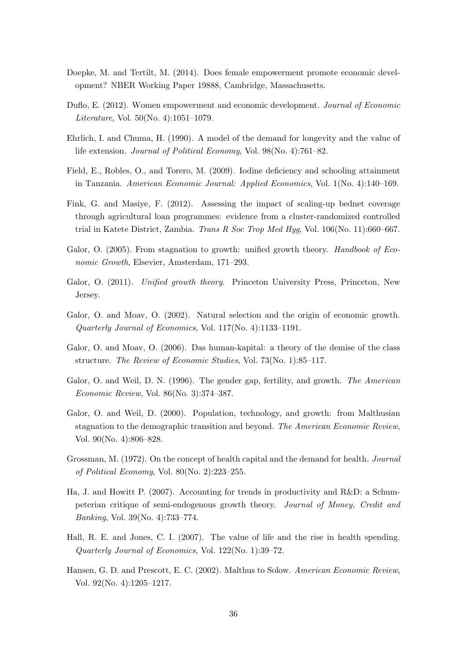- Doepke, M. and Tertilt, M. (2014). Does female empowerment promote economic development? NBER Working Paper 19888, Cambridge, Massachusetts.
- Duflo, E. (2012). Women empowerment and economic development. Journal of Economic Literature, Vol. 50(No. 4):1051–1079.
- Ehrlich, I. and Chuma, H. (1990). A model of the demand for longevity and the value of life extension. Journal of Political Economy, Vol. 98(No. 4):761–82.
- Field, E., Robles, O., and Torero, M. (2009). Iodine deficiency and schooling attainment in Tanzania. American Economic Journal: Applied Economics, Vol. 1(No. 4):140–169.
- Fink, G. and Masiye, F. (2012). Assessing the impact of scaling-up bednet coverage through agricultural loan programmes: evidence from a cluster-randomized controlled trial in Katete District, Zambia. Trans R Soc Trop Med Hyg, Vol. 106(No. 11):660–667.
- Galor, O. (2005). From stagnation to growth: unified growth theory. Handbook of Economic Growth, Elsevier, Amsterdam, 171–293.
- Galor, O. (2011). Unified growth theory. Princeton University Press, Princeton, New Jersey.
- Galor, O. and Moav, O. (2002). Natural selection and the origin of economic growth. Quarterly Journal of Economics, Vol. 117(No. 4):1133–1191.
- Galor, O. and Moav, O. (2006). Das human-kapital: a theory of the demise of the class structure. The Review of Economic Studies, Vol. 73(No. 1):85–117.
- Galor, O. and Weil, D. N. (1996). The gender gap, fertility, and growth. The American Economic Review, Vol. 86(No. 3):374–387.
- Galor, O. and Weil, D. (2000). Population, technology, and growth: from Malthusian stagnation to the demographic transition and beyond. The American Economic Review, Vol. 90(No. 4):806–828.
- Grossman, M. (1972). On the concept of health capital and the demand for health. Journal of Political Economy, Vol. 80(No. 2):223–255.
- Ha, J. and Howitt P. (2007). Accounting for trends in productivity and R&D: a Schumpeterian critique of semi-endogenous growth theory. Journal of Money, Credit and Banking, Vol. 39(No. 4):733–774.
- Hall, R. E. and Jones, C. I. (2007). The value of life and the rise in health spending. Quarterly Journal of Economics, Vol. 122(No. 1):39–72.
- Hansen, G. D. and Prescott, E. C. (2002). Malthus to Solow. American Economic Review, Vol. 92(No. 4):1205–1217.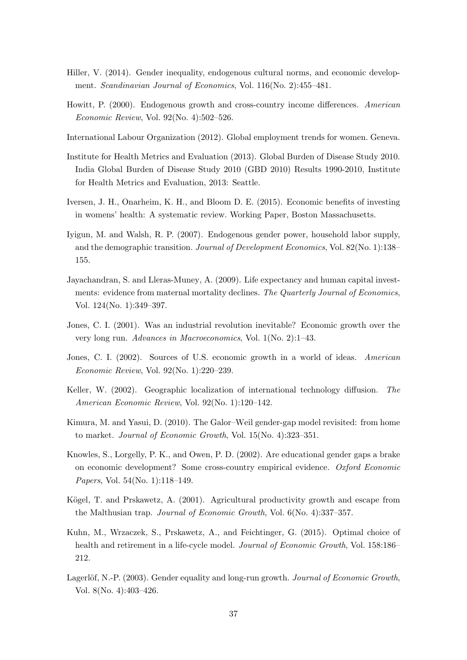- Hiller, V. (2014). Gender inequality, endogenous cultural norms, and economic development. Scandinavian Journal of Economics, Vol. 116(No. 2):455–481.
- Howitt, P. (2000). Endogenous growth and cross-country income differences. American Economic Review, Vol. 92(No. 4):502–526.
- International Labour Organization (2012). Global employment trends for women. Geneva.
- Institute for Health Metrics and Evaluation (2013). Global Burden of Disease Study 2010. India Global Burden of Disease Study 2010 (GBD 2010) Results 1990-2010, Institute for Health Metrics and Evaluation, 2013: Seattle.
- Iversen, J. H., Onarheim, K. H., and Bloom D. E. (2015). Economic benefits of investing in womens' health: A systematic review. Working Paper, Boston Massachusetts.
- Iyigun, M. and Walsh, R. P. (2007). Endogenous gender power, household labor supply, and the demographic transition. Journal of Development Economics, Vol. 82(No. 1):138– 155.
- Jayachandran, S. and Lleras-Muney, A. (2009). Life expectancy and human capital investments: evidence from maternal mortality declines. The Quarterly Journal of Economics, Vol. 124(No. 1):349–397.
- Jones, C. I. (2001). Was an industrial revolution inevitable? Economic growth over the very long run. Advances in Macroeconomics, Vol. 1(No. 2):1–43.
- Jones, C. I. (2002). Sources of U.S. economic growth in a world of ideas. American Economic Review, Vol. 92(No. 1):220–239.
- Keller, W. (2002). Geographic localization of international technology diffusion. The American Economic Review, Vol. 92(No. 1):120–142.
- Kimura, M. and Yasui, D. (2010). The Galor–Weil gender-gap model revisited: from home to market. Journal of Economic Growth, Vol. 15(No. 4):323–351.
- Knowles, S., Lorgelly, P. K., and Owen, P. D. (2002). Are educational gender gaps a brake on economic development? Some cross-country empirical evidence. Oxford Economic Papers, Vol. 54(No. 1):118–149.
- Kögel, T. and Prskawetz, A. (2001). Agricultural productivity growth and escape from the Malthusian trap. Journal of Economic Growth, Vol. 6(No. 4):337–357.
- Kuhn, M., Wrzaczek, S., Prskawetz, A., and Feichtinger, G. (2015). Optimal choice of health and retirement in a life-cycle model. *Journal of Economic Growth*, Vol. 158:186– 212.
- Lagerlöf, N.-P. (2003). Gender equality and long-run growth. Journal of Economic Growth, Vol. 8(No. 4):403–426.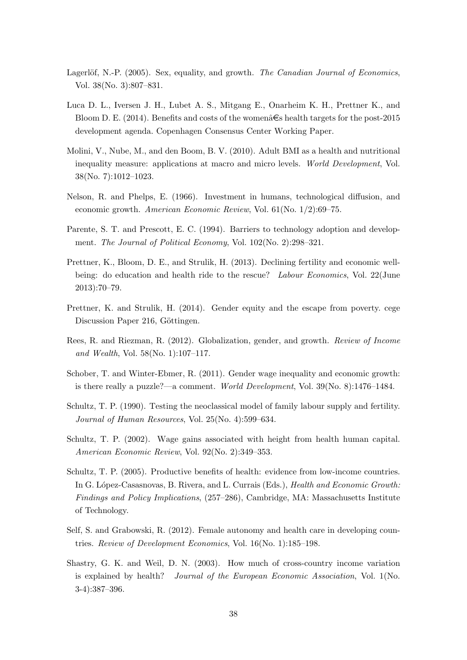- Lagerlöf, N.-P. (2005). Sex, equality, and growth. The Canadian Journal of Economics, Vol. 38(No. 3):807–831.
- Luca D. L., Iversen J. H., Lubet A. S., Mitgang E., Onarheim K. H., Prettner K., and Bloom D. E. (2014). Benefits and costs of the women  $\hat{\epsilon}$ s health targets for the post-2015 development agenda. Copenhagen Consensus Center Working Paper.
- Molini, V., Nube, M., and den Boom, B. V. (2010). Adult BMI as a health and nutritional inequality measure: applications at macro and micro levels. World Development, Vol. 38(No. 7):1012–1023.
- Nelson, R. and Phelps, E. (1966). Investment in humans, technological diffusion, and economic growth. American Economic Review, Vol. 61(No. 1/2):69–75.
- Parente, S. T. and Prescott, E. C. (1994). Barriers to technology adoption and development. The Journal of Political Economy, Vol. 102(No. 2):298–321.
- Prettner, K., Bloom, D. E., and Strulik, H. (2013). Declining fertility and economic wellbeing: do education and health ride to the rescue? Labour Economics, Vol. 22(June 2013):70–79.
- Prettner, K. and Strulik, H. (2014). Gender equity and the escape from poverty. cege Discussion Paper 216, Göttingen.
- Rees, R. and Riezman, R. (2012). Globalization, gender, and growth. Review of Income and Wealth, Vol. 58(No. 1):107–117.
- Schober, T. and Winter-Ebmer, R. (2011). Gender wage inequality and economic growth: is there really a puzzle?—a comment. World Development, Vol. 39(No. 8):1476–1484.
- Schultz, T. P. (1990). Testing the neoclassical model of family labour supply and fertility. Journal of Human Resources, Vol. 25(No. 4):599–634.
- Schultz, T. P. (2002). Wage gains associated with height from health human capital. American Economic Review, Vol. 92(No. 2):349–353.
- Schultz, T. P. (2005). Productive benefits of health: evidence from low-income countries. In G. López-Casasnovas, B. Rivera, and L. Currais (Eds.), *Health and Economic Growth:* Findings and Policy Implications, (257–286), Cambridge, MA: Massachusetts Institute of Technology.
- Self, S. and Grabowski, R. (2012). Female autonomy and health care in developing countries. Review of Development Economics, Vol. 16(No. 1):185–198.
- Shastry, G. K. and Weil, D. N. (2003). How much of cross-country income variation is explained by health? Journal of the European Economic Association, Vol. 1(No. 3-4):387–396.